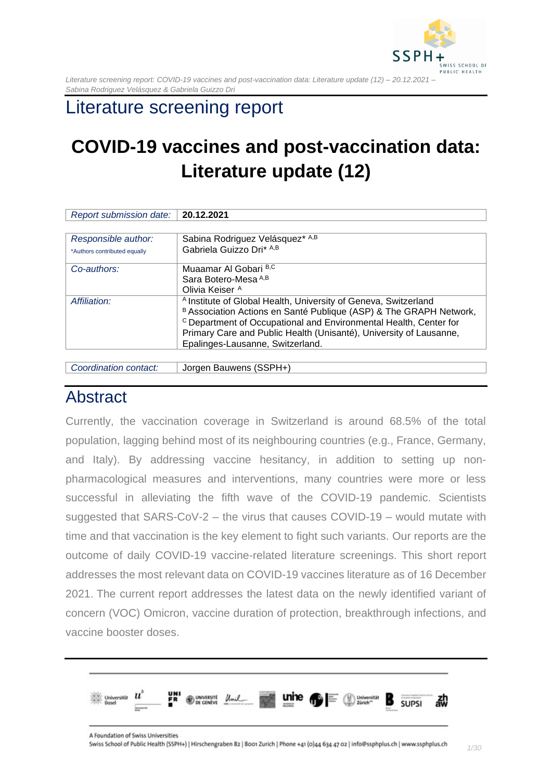

## Literature screening report

# **COVID-19 vaccines and post-vaccination data: Literature update (12)**

| Report submission date:      | 20.12.2021                                                                                                                                                                                                                                                                                                                                 |
|------------------------------|--------------------------------------------------------------------------------------------------------------------------------------------------------------------------------------------------------------------------------------------------------------------------------------------------------------------------------------------|
|                              |                                                                                                                                                                                                                                                                                                                                            |
| Responsible author:          | Sabina Rodriguez Velásquez* A,B                                                                                                                                                                                                                                                                                                            |
| *Authors contributed equally | Gabriela Guizzo Dri* A,B                                                                                                                                                                                                                                                                                                                   |
| Co-authors:                  | Muaamar Al Gobari B,C                                                                                                                                                                                                                                                                                                                      |
|                              | Sara Botero-Mesa A,B                                                                                                                                                                                                                                                                                                                       |
|                              | Olivia Keiser <sup>A</sup>                                                                                                                                                                                                                                                                                                                 |
| Affiliation:                 | <sup>A</sup> Institute of Global Health, University of Geneva, Switzerland<br>B Association Actions en Santé Publique (ASP) & The GRAPH Network,<br><sup>c</sup> Department of Occupational and Environmental Health, Center for<br>Primary Care and Public Health (Unisanté), University of Lausanne,<br>Epalinges-Lausanne, Switzerland. |

*Coordination contact:* Jorgen Bauwens (SSPH+)

### <span id="page-0-0"></span>Abstract

Currently, the vaccination coverage in Switzerland is around 68.5% of the total population, lagging behind most of its neighbouring countries (e.g., France, Germany, and Italy). By addressing vaccine hesitancy, in addition to setting up nonpharmacological measures and interventions, many countries were more or less successful in alleviating the fifth wave of the COVID-19 pandemic. Scientists suggested that SARS-CoV-2 – the virus that causes COVID-19 – would mutate with time and that vaccination is the key element to fight such variants. Our reports are the outcome of daily COVID-19 vaccine-related literature screenings. This short report addresses the most relevant data on COVID-19 vaccines literature as of 16 December 2021. The current report addresses the latest data on the newly identified variant of concern (VOC) Omicron, vaccine duration of protection, breakthrough infections, and vaccine booster doses.

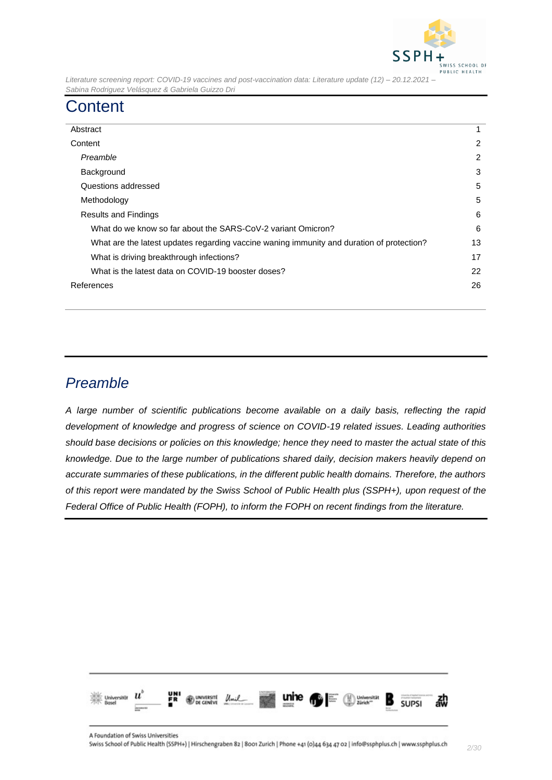

## <span id="page-1-0"></span>**Content**

| Abstract                                                                                  |                |
|-------------------------------------------------------------------------------------------|----------------|
| Content                                                                                   |                |
| Preamble                                                                                  | $\overline{2}$ |
| Background                                                                                |                |
| Questions addressed                                                                       |                |
| Methodology                                                                               |                |
| <b>Results and Findings</b>                                                               |                |
| What do we know so far about the SARS-CoV-2 variant Omicron?                              |                |
| What are the latest updates regarding vaccine waning immunity and duration of protection? |                |
| What is driving breakthrough infections?                                                  |                |
| What is the latest data on COVID-19 booster doses?                                        |                |
| References                                                                                |                |
|                                                                                           |                |

### <span id="page-1-1"></span>*Preamble*

*A large number of scientific publications become available on a daily basis, reflecting the rapid development of knowledge and progress of science on COVID-19 related issues. Leading authorities should base decisions or policies on this knowledge; hence they need to master the actual state of this knowledge. Due to the large number of publications shared daily, decision makers heavily depend on accurate summaries of these publications, in the different public health domains. Therefore, the authors of this report were mandated by the Swiss School of Public Health plus (SSPH+), upon request of the Federal Office of Public Health (FOPH), to inform the FOPH on recent findings from the literature.*

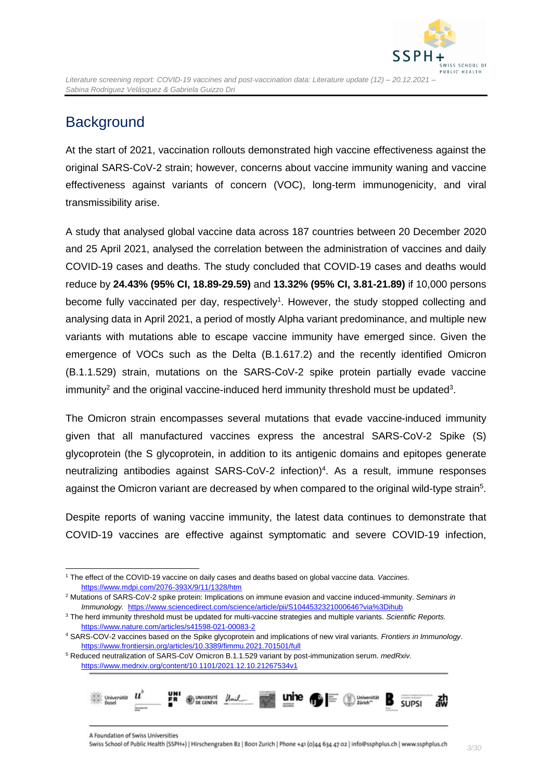

## <span id="page-2-0"></span>**Background**

At the start of 2021, vaccination rollouts demonstrated high vaccine effectiveness against the original SARS-CoV-2 strain; however, concerns about vaccine immunity waning and vaccine effectiveness against variants of concern (VOC), long-term immunogenicity, and viral transmissibility arise.

A study that analysed global vaccine data across 187 countries between 20 December 2020 and 25 April 2021, analysed the correlation between the administration of vaccines and daily COVID-19 cases and deaths. The study concluded that COVID-19 cases and deaths would reduce by **24.43% (95% CI, 18.89-29.59)** and **13.32% (95% CI, 3.81-21.89)** if 10,000 persons become fully vaccinated per day, respectively<sup>1</sup>. However, the study stopped collecting and analysing data in April 2021, a period of mostly Alpha variant predominance, and multiple new variants with mutations able to escape vaccine immunity have emerged since. Given the emergence of VOCs such as the Delta (B.1.617.2) and the recently identified Omicron (B.1.1.529) strain, mutations on the SARS-CoV-2 spike protein partially evade vaccine immunity<sup>2</sup> and the original vaccine-induced herd immunity threshold must be updated<sup>3</sup>.

The Omicron strain encompasses several mutations that evade vaccine-induced immunity given that all manufactured vaccines express the ancestral SARS-CoV-2 Spike (S) glycoprotein (the S glycoprotein, in addition to its antigenic domains and epitopes generate neutralizing antibodies against SARS-CoV-2 infection)<sup>4</sup>. As a result, immune responses against the Omicron variant are decreased by when compared to the original wild-type strain<sup>5</sup>.

Despite reports of waning vaccine immunity, the latest data continues to demonstrate that COVID-19 vaccines are effective against symptomatic and severe COVID-19 infection,

<sup>5</sup> Reduced neutralization of SARS-CoV Omicron B.1.1.529 variant by post-immunization serum. *medRxiv.*  <https://www.medrxiv.org/content/10.1101/2021.12.10.21267534v1>



<sup>1</sup> The effect of the COVID-19 vaccine on daily cases and deaths based on global vaccine data. *Vaccines.* <https://www.mdpi.com/2076-393X/9/11/1328/htm>

<sup>2</sup> Mutations of SARS-CoV-2 spike protein: Implications on immune evasion and vaccine induced-immunity. *Seminars in Immunology.* <https://www.sciencedirect.com/science/article/pii/S1044532321000646?via%3Dihub>

<sup>3</sup> The herd immunity threshold must be updated for multi-vaccine strategies and multiple variants. *Scientific Reports.* <https://www.nature.com/articles/s41598-021-00083-2>

<sup>4</sup> SARS-COV-2 vaccines based on the Spike glycoprotein and implications of new viral variants. *Frontiers in Immunology*. <https://www.frontiersin.org/articles/10.3389/fimmu.2021.701501/full>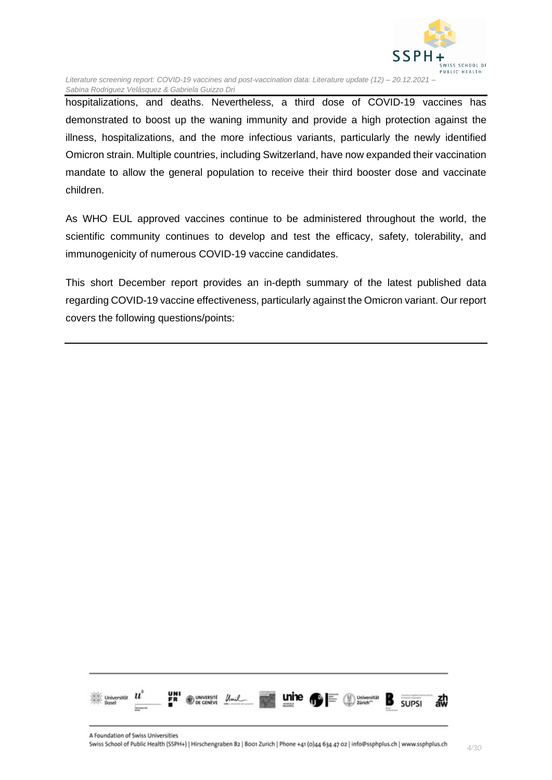

hospitalizations, and deaths. Nevertheless, a third dose of COVID-19 vaccines has demonstrated to boost up the waning immunity and provide a high protection against the illness, hospitalizations, and the more infectious variants, particularly the newly identified Omicron strain. Multiple countries, including Switzerland, have now expanded their vaccination mandate to allow the general population to receive their third booster dose and vaccinate children.

As WHO EUL approved vaccines continue to be administered throughout the world, the scientific community continues to develop and test the efficacy, safety, tolerability, and immunogenicity of numerous COVID-19 vaccine candidates.

<span id="page-3-0"></span>This short December report provides an in-depth summary of the latest published data regarding COVID-19 vaccine effectiveness, particularly against the Omicron variant. Our report covers the following questions/points:

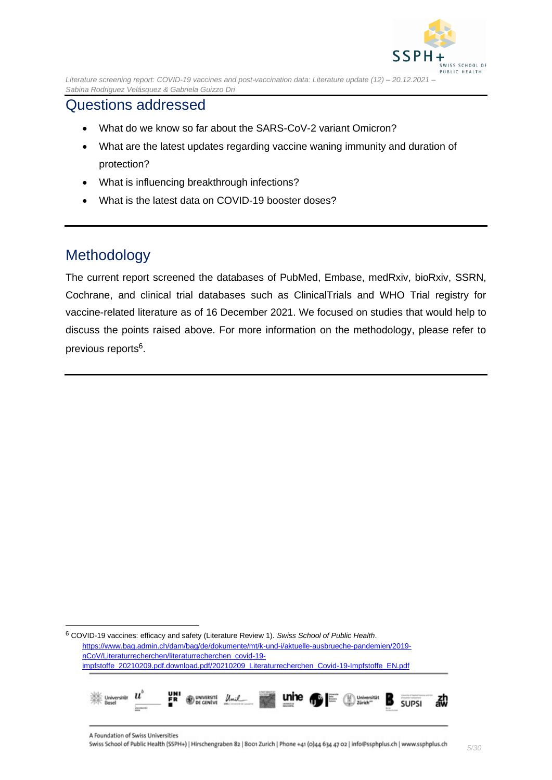

### Questions addressed

- What do we know so far about the SARS-CoV-2 variant Omicron?
- What are the latest updates regarding vaccine waning immunity and duration of protection?
- What is influencing breakthrough infections?
- What is the latest data on COVID-19 booster doses?

### <span id="page-4-0"></span>Methodology

<span id="page-4-1"></span>The current report screened the databases of PubMed, Embase, medRxiv, bioRxiv, SSRN, Cochrane, and clinical trial databases such as ClinicalTrials and WHO Trial registry for vaccine-related literature as of 16 December 2021. We focused on studies that would help to discuss the points raised above. For more information on the methodology, please refer to previous reports<sup>6</sup>.

<sup>6</sup> COVID-19 vaccines: efficacy and safety (Literature Review 1). *Swiss School of Public Health*. [https://www.bag.admin.ch/dam/bag/de/dokumente/mt/k-und-i/aktuelle-ausbrueche-pandemien/2019](https://www.bag.admin.ch/dam/bag/de/dokumente/mt/k-und-i/aktuelle-ausbrueche-pandemien/2019-nCoV/Literaturrecherchen/literaturrecherchen_covid-19-impfstoffe_20210209.pdf.download.pdf/20210209_Literaturrecherchen_Covid-19-Impfstoffe_EN.pdf) [nCoV/Literaturrecherchen/literaturrecherchen\\_covid-19](https://www.bag.admin.ch/dam/bag/de/dokumente/mt/k-und-i/aktuelle-ausbrueche-pandemien/2019-nCoV/Literaturrecherchen/literaturrecherchen_covid-19-impfstoffe_20210209.pdf.download.pdf/20210209_Literaturrecherchen_Covid-19-Impfstoffe_EN.pdf) [impfstoffe\\_20210209.pdf.download.pdf/20210209\\_Literaturrecherchen\\_Covid-19-Impfstoffe\\_EN.pdf](https://www.bag.admin.ch/dam/bag/de/dokumente/mt/k-und-i/aktuelle-ausbrueche-pandemien/2019-nCoV/Literaturrecherchen/literaturrecherchen_covid-19-impfstoffe_20210209.pdf.download.pdf/20210209_Literaturrecherchen_Covid-19-Impfstoffe_EN.pdf)

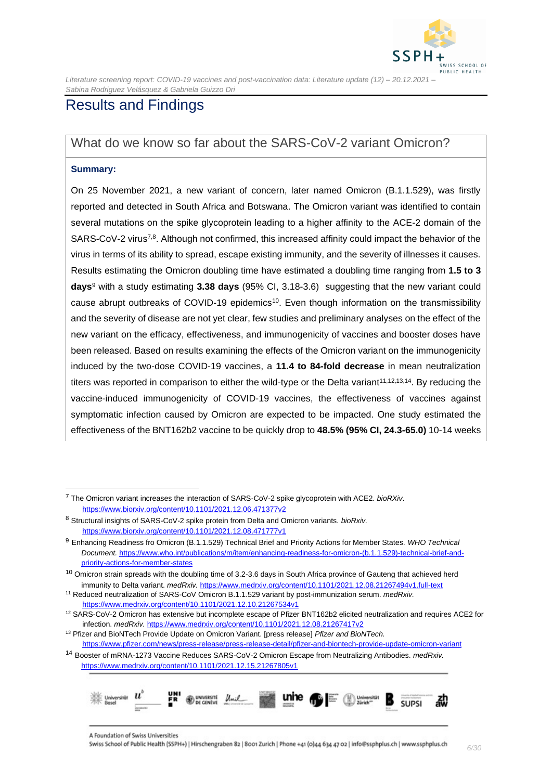

### Results and Findings

### <span id="page-5-0"></span>What do we know so far about the SARS-CoV-2 variant Omicron?

#### **Summary:**

On 25 November 2021, a new variant of concern, later named Omicron (B.1.1.529), was firstly reported and detected in South Africa and Botswana. The Omicron variant was identified to contain several mutations on the spike glycoprotein leading to a higher affinity to the ACE-2 domain of the SARS-CoV-2 virus<sup>7,8</sup>. Although not confirmed, this increased affinity could impact the behavior of the virus in terms of its ability to spread, escape existing immunity, and the severity of illnesses it causes. Results estimating the Omicron doubling time have estimated a doubling time ranging from **1.5 to 3 days**<sup>9</sup> with a study estimating **3.38 days** (95% CI, 3.18-3.6) suggesting that the new variant could cause abrupt outbreaks of COVID-19 epidemics<sup>10</sup>. Even though information on the transmissibility and the severity of disease are not yet clear, few studies and preliminary analyses on the effect of the new variant on the efficacy, effectiveness, and immunogenicity of vaccines and booster doses have been released. Based on results examining the effects of the Omicron variant on the immunogenicity induced by the two-dose COVID-19 vaccines, a **11.4 to 84-fold decrease** in mean neutralization titers was reported in comparison to either the wild-type or the Delta variant<sup>11,12,13,14</sup>. By reducing the vaccine-induced immunogenicity of COVID-19 vaccines, the effectiveness of vaccines against symptomatic infection caused by Omicron are expected to be impacted. One study estimated the effectiveness of the BNT162b2 vaccine to be quickly drop to **48.5% (95% CI, 24.3-65.0)** 10-14 weeks

<sup>14</sup> Booster of mRNA-1273 Vaccine Reduces SARS-CoV-2 Omicron Escape from Neutralizing Antibodies. *medRxiv.*  <https://www.medrxiv.org/content/10.1101/2021.12.15.21267805v1>



<sup>7</sup> The Omicron variant increases the interaction of SARS-CoV-2 spike glycoprotein with ACE2. *bioRXiv*. <https://www.biorxiv.org/content/10.1101/2021.12.06.471377v2>

<sup>8</sup> Structural insights of SARS-CoV-2 spike protein from Delta and Omicron variants. *bioRxiv.* <https://www.biorxiv.org/content/10.1101/2021.12.08.471777v1>

<sup>9</sup> Enhancing Readiness fro Omicron (B.1.1.529) Technical Brief and Priority Actions for Member States. *WHO Technical Document.* [https://www.who.int/publications/m/item/enhancing-readiness-for-omicron-\(b.1.1.529\)-technical-brief-and](https://www.who.int/publications/m/item/enhancing-readiness-for-omicron-(b.1.1.529)-technical-brief-and-priority-actions-for-member-states)[priority-actions-for-member-states](https://www.who.int/publications/m/item/enhancing-readiness-for-omicron-(b.1.1.529)-technical-brief-and-priority-actions-for-member-states)

<sup>&</sup>lt;sup>10</sup> Omicron strain spreads with the doubling time of 3.2-3.6 days in South Africa province of Gauteng that achieved herd immunity to Delta variant. *medRxiv.* <https://www.medrxiv.org/content/10.1101/2021.12.08.21267494v1.full-text>

<sup>11</sup> Reduced neutralization of SARS-CoV Omicron B.1.1.529 variant by post-immunization serum. *medRxiv.*  <https://www.medrxiv.org/content/10.1101/2021.12.10.21267534v1>

 $12$  SARS-CoV-2 Omicron has extensive but incomplete escape of Pfizer BNT162b2 elicited neutralization and requires ACE2 for infection. *medRxiv.* <https://www.medrxiv.org/content/10.1101/2021.12.08.21267417v2>

<sup>13</sup> Pfizer and BioNTech Provide Update on Omicron Variant. [press release] *Pfizer and BioNTech.*  <https://www.pfizer.com/news/press-release/press-release-detail/pfizer-and-biontech-provide-update-omicron-variant>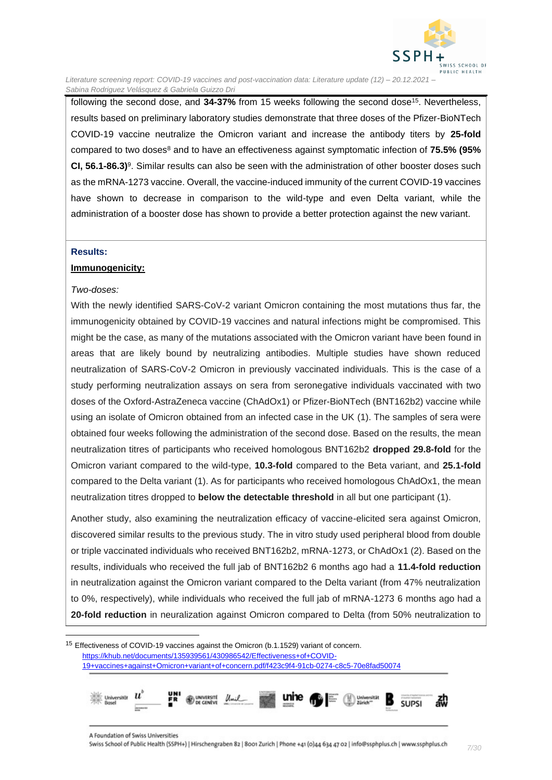

following the second dose, and **34-37%** from 15 weeks following the second dose<sup>15</sup>. Nevertheless, results based on preliminary laboratory studies demonstrate that three doses of the Pfizer-BioNTech COVID-19 vaccine neutralize the Omicron variant and increase the antibody titers by **25-fold** compared to two doses<sup>8</sup> and to have an effectiveness against symptomatic infection of **75.5% (95%**  CI, 56.1-86.3)<sup>9</sup>. Similar results can also be seen with the administration of other booster doses such as the mRNA-1273 vaccine. Overall, the vaccine-induced immunity of the current COVID-19 vaccines have shown to decrease in comparison to the wild-type and even Delta variant, while the administration of a booster dose has shown to provide a better protection against the new variant.

#### **Results:**

#### **Immunogenicity:**

#### *Two-doses:*

With the newly identified SARS-CoV-2 variant Omicron containing the most mutations thus far, the immunogenicity obtained by COVID-19 vaccines and natural infections might be compromised. This might be the case, as many of the mutations associated with the Omicron variant have been found in areas that are likely bound by neutralizing antibodies. Multiple studies have shown reduced neutralization of SARS-CoV-2 Omicron in previously vaccinated individuals. This is the case of a study performing neutralization assays on sera from seronegative individuals vaccinated with two doses of the Oxford-AstraZeneca vaccine (ChAdOx1) or Pfizer-BioNTech (BNT162b2) vaccine while using an isolate of Omicron obtained from an infected case in the UK (1). The samples of sera were obtained four weeks following the administration of the second dose. Based on the results, the mean neutralization titres of participants who received homologous BNT162b2 **dropped 29.8-fold** for the Omicron variant compared to the wild-type, **10.3-fold** compared to the Beta variant, and **25.1-fold**  compared to the Delta variant (1). As for participants who received homologous ChAdOx1, the mean neutralization titres dropped to **below the detectable threshold** in all but one participant (1).

Another study, also examining the neutralization efficacy of vaccine-elicited sera against Omicron, discovered similar results to the previous study. The in vitro study used peripheral blood from double or triple vaccinated individuals who received BNT162b2, mRNA-1273, or ChAdOx1 (2). Based on the results, individuals who received the full jab of BNT162b2 6 months ago had a **11.4-fold reduction** in neutralization against the Omicron variant compared to the Delta variant (from 47% neutralization to 0%, respectively), while individuals who received the full jab of mRNA-1273 6 months ago had a **20-fold reduction** in neuralization against Omicron compared to Delta (from 50% neutralization to

<sup>&</sup>lt;sup>15</sup> Effectiveness of COVID-19 vaccines against the Omicron (b.1.1529) variant of concern. [https://khub.net/documents/135939561/430986542/Effectiveness+of+COVID-](https://khub.net/documents/135939561/430986542/Effectiveness+of+COVID-19+vaccines+against+Omicron+variant+of+concern.pdf/f423c9f4-91cb-0274-c8c5-70e8fad50074)[19+vaccines+against+Omicron+variant+of+concern.pdf/f423c9f4-91cb-0274-c8c5-70e8fad50074](https://khub.net/documents/135939561/430986542/Effectiveness+of+COVID-19+vaccines+against+Omicron+variant+of+concern.pdf/f423c9f4-91cb-0274-c8c5-70e8fad50074)

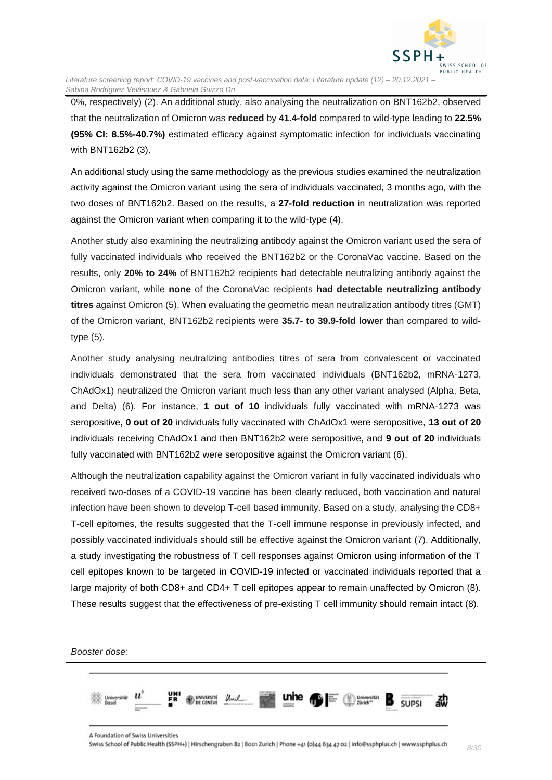

0%, respectively) (2). An additional study, also analysing the neutralization on BNT162b2, observed that the neutralization of Omicron was **reduced** by **41.4-fold** compared to wild-type leading to **22.5% (95% CI: 8.5%-40.7%)** estimated efficacy against symptomatic infection for individuals vaccinating with BNT162b2 (3).

An additional study using the same methodology as the previous studies examined the neutralization activity against the Omicron variant using the sera of individuals vaccinated, 3 months ago, with the two doses of BNT162b2. Based on the results, a **27-fold reduction** in neutralization was reported against the Omicron variant when comparing it to the wild-type (4).

Another study also examining the neutralizing antibody against the Omicron variant used the sera of fully vaccinated individuals who received the BNT162b2 or the CoronaVac vaccine. Based on the results, only **20% to 24%** of BNT162b2 recipients had detectable neutralizing antibody against the Omicron variant, while **none** of the CoronaVac recipients **had detectable neutralizing antibody titres** against Omicron (5). When evaluating the geometric mean neutralization antibody titres (GMT) of the Omicron variant, BNT162b2 recipients were **35.7- to 39.9-fold lower** than compared to wildtype (5).

Another study analysing neutralizing antibodies titres of sera from convalescent or vaccinated individuals demonstrated that the sera from vaccinated individuals (BNT162b2, mRNA-1273, ChAdOx1) neutralized the Omicron variant much less than any other variant analysed (Alpha, Beta, and Delta) (6). For instance, **1 out of 10** individuals fully vaccinated with mRNA-1273 was seropositive**, 0 out of 20** individuals fully vaccinated with ChAdOx1 were seropositive, **13 out of 20** individuals receiving ChAdOx1 and then BNT162b2 were seropositive, and **9 out of 20** individuals fully vaccinated with BNT162b2 were seropositive against the Omicron variant (6).

Although the neutralization capability against the Omicron variant in fully vaccinated individuals who received two-doses of a COVID-19 vaccine has been clearly reduced, both vaccination and natural infection have been shown to develop T-cell based immunity. Based on a study, analysing the CD8+ T-cell epitomes, the results suggested that the T-cell immune response in previously infected, and possibly vaccinated individuals should still be effective against the Omicron variant (7). Additionally, a study investigating the robustness of T cell responses against Omicron using information of the T cell epitopes known to be targeted in COVID-19 infected or vaccinated individuals reported that a large majority of both CD8+ and CD4+ T cell epitopes appear to remain unaffected by Omicron (8). These results suggest that the effectiveness of pre-existing T cell immunity should remain intact (8).

*Booster dose:*

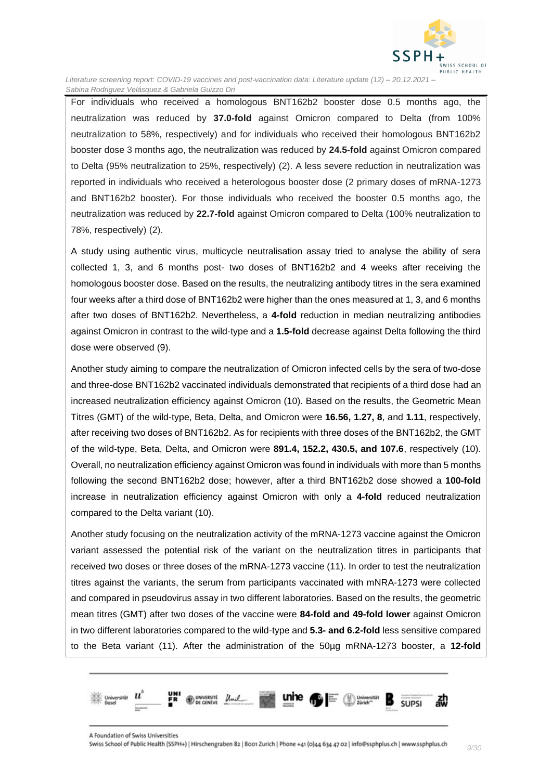

For individuals who received a homologous BNT162b2 booster dose 0.5 months ago, the neutralization was reduced by **37.0-fold** against Omicron compared to Delta (from 100% neutralization to 58%, respectively) and for individuals who received their homologous BNT162b2 booster dose 3 months ago, the neutralization was reduced by **24.5-fold** against Omicron compared to Delta (95% neutralization to 25%, respectively) (2). A less severe reduction in neutralization was reported in individuals who received a heterologous booster dose (2 primary doses of mRNA-1273 and BNT162b2 booster). For those individuals who received the booster 0.5 months ago, the neutralization was reduced by **22.7-fold** against Omicron compared to Delta (100% neutralization to 78%, respectively) (2).

A study using authentic virus, multicycle neutralisation assay tried to analyse the ability of sera collected 1, 3, and 6 months post- two doses of BNT162b2 and 4 weeks after receiving the homologous booster dose. Based on the results, the neutralizing antibody titres in the sera examined four weeks after a third dose of BNT162b2 were higher than the ones measured at 1, 3, and 6 months after two doses of BNT162b2. Nevertheless, a **4-fold** reduction in median neutralizing antibodies against Omicron in contrast to the wild-type and a **1.5-fold** decrease against Delta following the third dose were observed (9).

Another study aiming to compare the neutralization of Omicron infected cells by the sera of two-dose and three-dose BNT162b2 vaccinated individuals demonstrated that recipients of a third dose had an increased neutralization efficiency against Omicron (10). Based on the results, the Geometric Mean Titres (GMT) of the wild-type, Beta, Delta, and Omicron were **16.56, 1.27, 8**, and **1.11**, respectively, after receiving two doses of BNT162b2. As for recipients with three doses of the BNT162b2, the GMT of the wild-type, Beta, Delta, and Omicron were **891.4, 152.2, 430.5, and 107.6**, respectively (10). Overall, no neutralization efficiency against Omicron was found in individuals with more than 5 months following the second BNT162b2 dose; however, after a third BNT162b2 dose showed a **100-fold**  increase in neutralization efficiency against Omicron with only a **4-fold** reduced neutralization compared to the Delta variant (10).

Another study focusing on the neutralization activity of the mRNA-1273 vaccine against the Omicron variant assessed the potential risk of the variant on the neutralization titres in participants that received two doses or three doses of the mRNA-1273 vaccine (11). In order to test the neutralization titres against the variants, the serum from participants vaccinated with mNRA-1273 were collected and compared in pseudovirus assay in two different laboratories. Based on the results, the geometric mean titres (GMT) after two doses of the vaccine were **84-fold and 49-fold lower** against Omicron in two different laboratories compared to the wild-type and **5.3- and 6.2-fold** less sensitive compared to the Beta variant (11). After the administration of the 50µg mRNA-1273 booster, a **12-fold** 

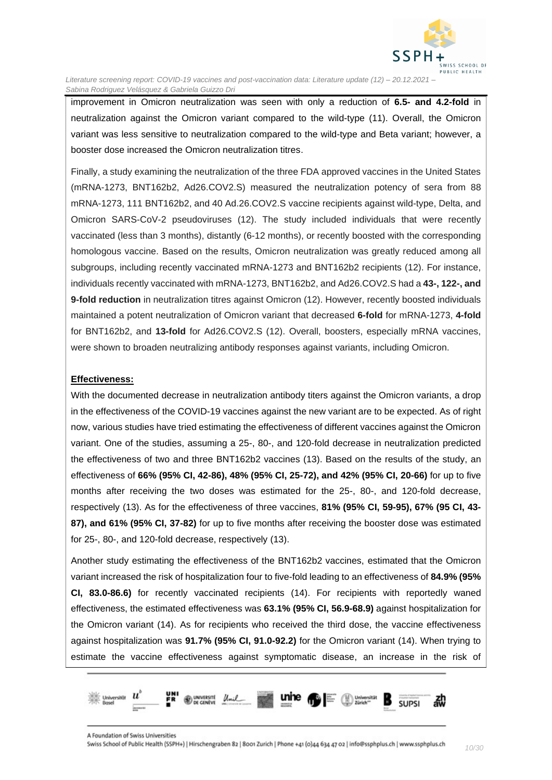

improvement in Omicron neutralization was seen with only a reduction of **6.5- and 4.2-fold** in neutralization against the Omicron variant compared to the wild-type (11). Overall, the Omicron variant was less sensitive to neutralization compared to the wild-type and Beta variant; however, a booster dose increased the Omicron neutralization titres.

Finally, a study examining the neutralization of the three FDA approved vaccines in the United States (mRNA-1273, BNT162b2, Ad26.COV2.S) measured the neutralization potency of sera from 88 mRNA-1273, 111 BNT162b2, and 40 Ad.26.COV2.S vaccine recipients against wild-type, Delta, and Omicron SARS-CoV-2 pseudoviruses (12). The study included individuals that were recently vaccinated (less than 3 months), distantly (6-12 months), or recently boosted with the corresponding homologous vaccine. Based on the results, Omicron neutralization was greatly reduced among all subgroups, including recently vaccinated mRNA-1273 and BNT162b2 recipients (12). For instance, individuals recently vaccinated with mRNA-1273, BNT162b2, and Ad26.COV2.S had a **43-, 122-, and 9-fold reduction** in neutralization titres against Omicron (12). However, recently boosted individuals maintained a potent neutralization of Omicron variant that decreased **6-fold** for mRNA-1273, **4-fold**  for BNT162b2, and **13-fold** for Ad26.COV2.S (12). Overall, boosters, especially mRNA vaccines, were shown to broaden neutralizing antibody responses against variants, including Omicron.

#### **Effectiveness:**

With the documented decrease in neutralization antibody titers against the Omicron variants, a drop in the effectiveness of the COVID-19 vaccines against the new variant are to be expected. As of right now, various studies have tried estimating the effectiveness of different vaccines against the Omicron variant. One of the studies, assuming a 25-, 80-, and 120-fold decrease in neutralization predicted the effectiveness of two and three BNT162b2 vaccines (13). Based on the results of the study, an effectiveness of **66% (95% CI, 42-86), 48% (95% CI, 25-72), and 42% (95% CI, 20-66)** for up to five months after receiving the two doses was estimated for the 25-, 80-, and 120-fold decrease, respectively (13). As for the effectiveness of three vaccines, **81% (95% CI, 59-95), 67% (95 CI, 43- 87), and 61% (95% CI, 37-82)** for up to five months after receiving the booster dose was estimated for 25-, 80-, and 120-fold decrease, respectively (13).

Another study estimating the effectiveness of the BNT162b2 vaccines, estimated that the Omicron variant increased the risk of hospitalization four to five-fold leading to an effectiveness of **84.9% (95% CI, 83.0-86.6)** for recently vaccinated recipients (14). For recipients with reportedly waned effectiveness, the estimated effectiveness was **63.1% (95% CI, 56.9-68.9)** against hospitalization for the Omicron variant (14). As for recipients who received the third dose, the vaccine effectiveness against hospitalization was **91.7% (95% CI, 91.0-92.2)** for the Omicron variant (14). When trying to estimate the vaccine effectiveness against symptomatic disease, an increase in the risk of

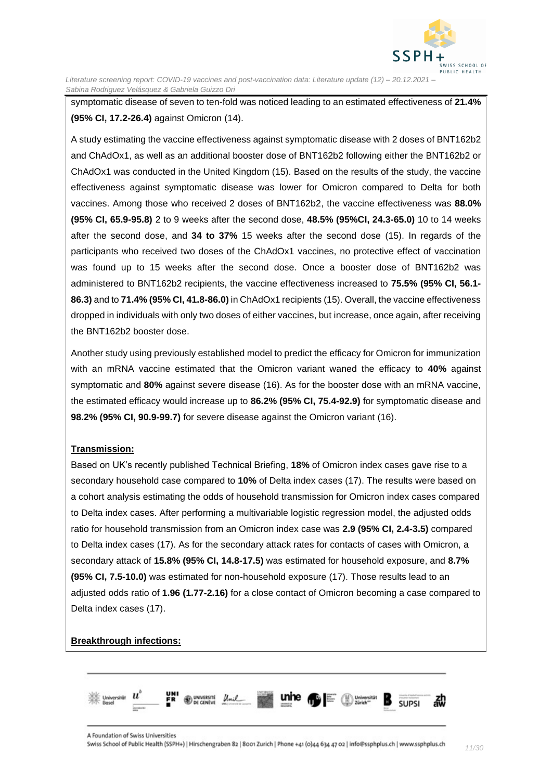

symptomatic disease of seven to ten-fold was noticed leading to an estimated effectiveness of **21.4% (95% CI, 17.2-26.4)** against Omicron (14).

A study estimating the vaccine effectiveness against symptomatic disease with 2 doses of BNT162b2 and ChAdOx1, as well as an additional booster dose of BNT162b2 following either the BNT162b2 or ChAdOx1 was conducted in the United Kingdom (15). Based on the results of the study, the vaccine effectiveness against symptomatic disease was lower for Omicron compared to Delta for both vaccines. Among those who received 2 doses of BNT162b2, the vaccine effectiveness was **88.0% (95% CI, 65.9-95.8)** 2 to 9 weeks after the second dose, **48.5% (95%CI, 24.3-65.0)** 10 to 14 weeks after the second dose, and **34 to 37%** 15 weeks after the second dose (15). In regards of the participants who received two doses of the ChAdOx1 vaccines, no protective effect of vaccination was found up to 15 weeks after the second dose. Once a booster dose of BNT162b2 was administered to BNT162b2 recipients, the vaccine effectiveness increased to **75.5% (95% CI, 56.1- 86.3)** and to **71.4% (95% CI, 41.8-86.0)** in ChAdOx1 recipients (15). Overall, the vaccine effectiveness dropped in individuals with only two doses of either vaccines, but increase, once again, after receiving the BNT162b2 booster dose.

Another study using previously established model to predict the efficacy for Omicron for immunization with an mRNA vaccine estimated that the Omicron variant waned the efficacy to **40%** against symptomatic and **80%** against severe disease (16). As for the booster dose with an mRNA vaccine, the estimated efficacy would increase up to **86.2% (95% CI, 75.4-92.9)** for symptomatic disease and **98.2% (95% CI, 90.9-99.7)** for severe disease against the Omicron variant (16).

#### **Transmission:**

Based on UK's recently published Technical Briefing, **18%** of Omicron index cases gave rise to a secondary household case compared to **10%** of Delta index cases (17). The results were based on a cohort analysis estimating the odds of household transmission for Omicron index cases compared to Delta index cases. After performing a multivariable logistic regression model, the adjusted odds ratio for household transmission from an Omicron index case was **2.9 (95% CI, 2.4-3.5)** compared to Delta index cases (17). As for the secondary attack rates for contacts of cases with Omicron, a secondary attack of **15.8% (95% CI, 14.8-17.5)** was estimated for household exposure, and **8.7% (95% CI, 7.5-10.0)** was estimated for non-household exposure (17). Those results lead to an adjusted odds ratio of **1.96 (1.77-2.16)** for a close contact of Omicron becoming a case compared to Delta index cases (17).

#### **Breakthrough infections:**

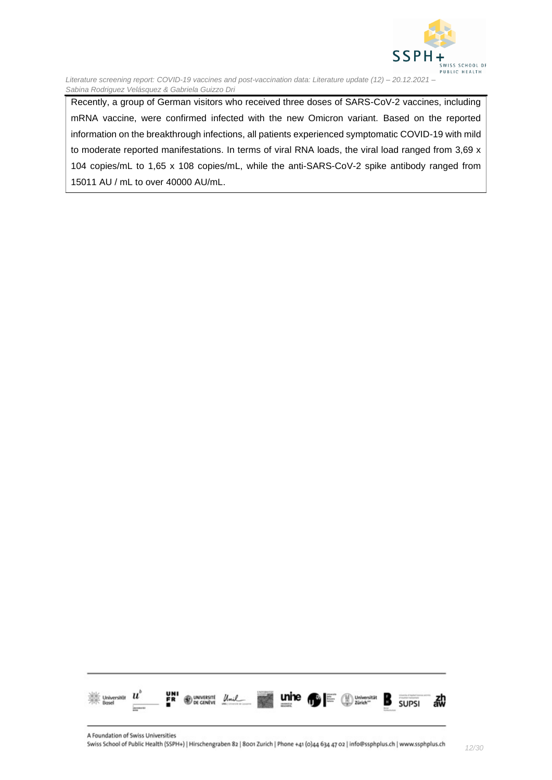

Recently, a group of German visitors who received three doses of SARS-CoV-2 vaccines, including mRNA vaccine, were confirmed infected with the new Omicron variant. Based on the reported information on the breakthrough infections, all patients experienced symptomatic COVID-19 with mild to moderate reported manifestations. In terms of viral RNA loads, the viral load ranged from 3,69 x 104 copies/mL to 1,65 x 108 copies/mL, while the anti-SARS-CoV-2 spike antibody ranged from 15011 AU / mL to over 40000 AU/mL.

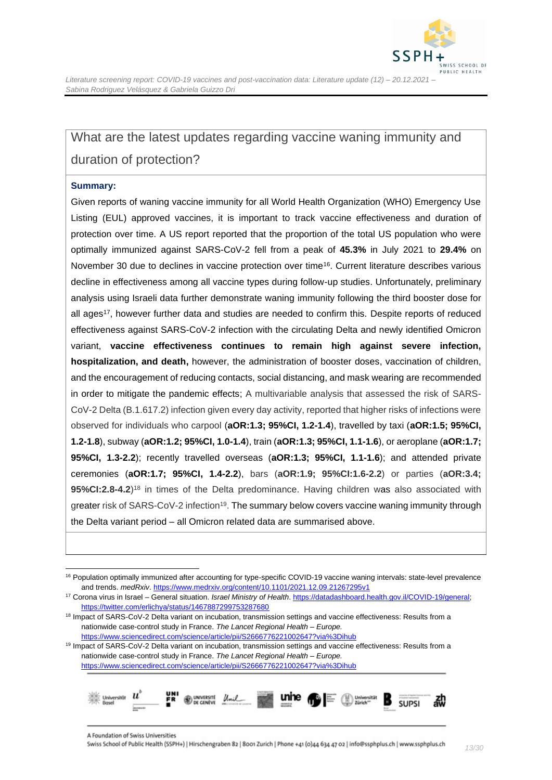

## <span id="page-12-0"></span>What are the latest updates regarding vaccine waning immunity and duration of protection?

#### **Summary:**

Given reports of waning vaccine immunity for all World Health Organization (WHO) Emergency Use Listing (EUL) approved vaccines, it is important to track vaccine effectiveness and duration of protection over time. A US report reported that the proportion of the total US population who were optimally immunized against SARS-CoV-2 fell from a peak of **45.3%** in July 2021 to **29.4%** on November 30 due to declines in vaccine protection over time<sup>16</sup>. Current literature describes various decline in effectiveness among all vaccine types during follow-up studies. Unfortunately, preliminary analysis using Israeli data further demonstrate waning immunity following the third booster dose for all ages<sup>17</sup>, however further data and studies are needed to confirm this. Despite reports of reduced effectiveness against SARS-CoV-2 infection with the circulating Delta and newly identified Omicron variant, **vaccine effectiveness continues to remain high against severe infection, hospitalization, and death,** however, the administration of booster doses, vaccination of children, and the encouragement of reducing contacts, social distancing, and mask wearing are recommended in order to mitigate the pandemic effects; A multivariable analysis that assessed the risk of SARS-CoV-2 Delta (B.1.617.2) infection given every day activity, reported that higher risks of infections were observed for individuals who carpool (**aOR:1.3; 95%CI, 1.2-1.4**), travelled by taxi (**aOR:1.5; 95%CI, 1.2-1.8**), subway (**aOR:1.2; 95%CI, 1.0-1.4**), train (**aOR:1.3; 95%CI, 1.1-1.6**), or aeroplane (**aOR:1.7; 95%CI, 1.3-2.2**); recently travelled overseas (**aOR:1.3; 95%CI, 1.1-1.6**); and attended private ceremonies (**aOR:1.7; 95%CI, 1.4-2.2**), bars (**aOR:1.9; 95%CI:1.6-2.2**) or parties (**aOR:3.4; 95%CI:2.8-4.2**) <sup>18</sup> in times of the Delta predominance. Having children was also associated with greater risk of SARS-CoV-2 infection<sup>19</sup>. The summary below covers vaccine waning immunity through the Delta variant period – all Omicron related data are summarised above.

<sup>&</sup>lt;sup>19</sup> Impact of SARS-CoV-2 Delta variant on incubation, transmission settings and vaccine effectiveness: Results from a nationwide case-control study in France. *The Lancet Regional Health – Europe.*  <https://www.sciencedirect.com/science/article/pii/S2666776221002647?via%3Dihub>



<sup>&</sup>lt;sup>16</sup> Population optimally immunized after accounting for type-specific COVID-19 vaccine waning intervals: state-level prevalence and trends. *medRxiv*[. https://www.medrxiv.org/content/10.1101/2021.12.09.21267295v1](https://www.medrxiv.org/content/10.1101/2021.12.09.21267295v1)

<sup>17</sup> Corona virus in Israel – General situation. *Israel Ministry of Health*. [https://datadashboard.health.gov.il/COVID-19/general;](https://datadashboard.health.gov.il/COVID-19/general)  <https://twitter.com/erlichya/status/1467887299753287680>

<sup>&</sup>lt;sup>18</sup> Impact of SARS-CoV-2 Delta variant on incubation, transmission settings and vaccine effectiveness: Results from a nationwide case-control study in France. *The Lancet Regional Health – Europe.*  <https://www.sciencedirect.com/science/article/pii/S2666776221002647?via%3Dihub>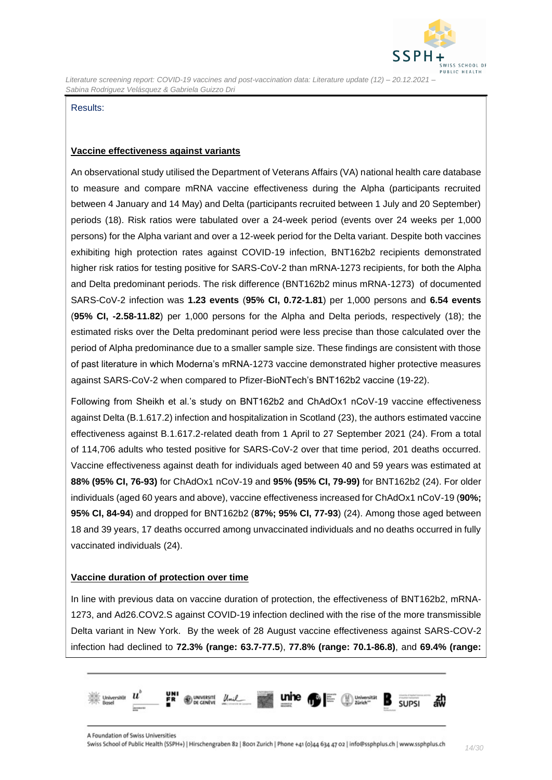

#### Results:

#### **Vaccine effectiveness against variants**

An observational study utilised the Department of Veterans Affairs (VA) national health care database to measure and compare mRNA vaccine effectiveness during the Alpha (participants recruited between 4 January and 14 May) and Delta (participants recruited between 1 July and 20 September) periods (18). Risk ratios were tabulated over a 24-week period (events over 24 weeks per 1,000 persons) for the Alpha variant and over a 12-week period for the Delta variant. Despite both vaccines exhibiting high protection rates against COVID-19 infection, BNT162b2 recipients demonstrated higher risk ratios for testing positive for SARS-CoV-2 than mRNA-1273 recipients, for both the Alpha and Delta predominant periods. The risk difference (BNT162b2 minus mRNA-1273) of documented SARS-CoV-2 infection was **1.23 events** (**95% CI, 0.72-1.81**) per 1,000 persons and **6.54 events** (**95% CI, -2.58-11.82**) per 1,000 persons for the Alpha and Delta periods, respectively (18); the estimated risks over the Delta predominant period were less precise than those calculated over the period of Alpha predominance due to a smaller sample size. These findings are consistent with those of past literature in which Moderna's mRNA-1273 vaccine demonstrated higher protective measures against SARS-CoV-2 when compared to Pfizer-BioNTech's BNT162b2 vaccine (19-22).

Following from Sheikh et al.'s study on BNT162b2 and ChAdOx1 nCoV-19 vaccine effectiveness against Delta (B.1.617.2) infection and hospitalization in Scotland (23), the authors estimated vaccine effectiveness against B.1.617.2-related death from 1 April to 27 September 2021 (24). From a total of 114,706 adults who tested positive for SARS-CoV-2 over that time period, 201 deaths occurred. Vaccine effectiveness against death for individuals aged between 40 and 59 years was estimated at **88% (95% CI, 76-93)** for ChAdOx1 nCoV-19 and **95% (95% CI, 79-99)** for BNT162b2 (24). For older individuals (aged 60 years and above), vaccine effectiveness increased for ChAdOx1 nCoV-19 (**90%; 95% CI, 84-94**) and dropped for BNT162b2 (**87%; 95% CI, 77-93**) (24). Among those aged between 18 and 39 years, 17 deaths occurred among unvaccinated individuals and no deaths occurred in fully vaccinated individuals (24).

#### **Vaccine duration of protection over time**

In line with previous data on vaccine duration of protection, the effectiveness of BNT162b2, mRNA-1273, and Ad26.COV2.S against COVID-19 infection declined with the rise of the more transmissible Delta variant in New York. By the week of 28 August vaccine effectiveness against SARS-COV-2 infection had declined to **72.3% (range: 63.7-77.5**), **77.8% (range: 70.1-86.8)**, and **69.4% (range:** 

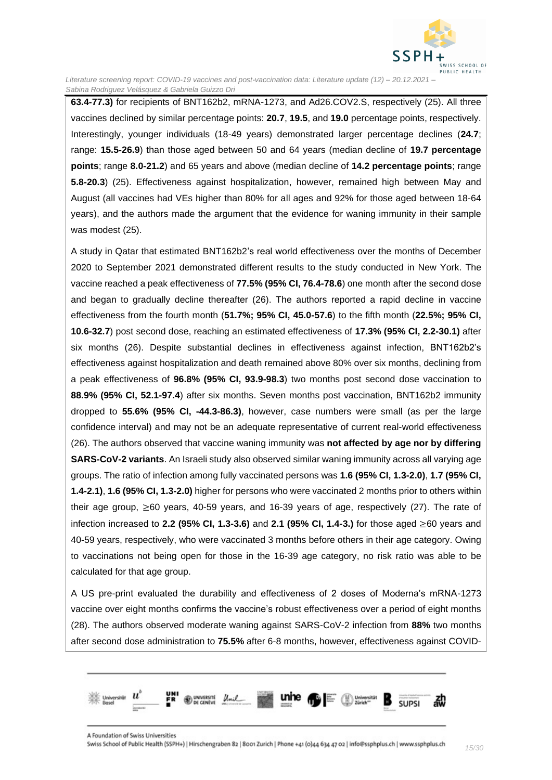

**63.4-77.3)** for recipients of BNT162b2, mRNA-1273, and Ad26.COV2.S, respectively (25). All three vaccines declined by similar percentage points: **20.7**, **19.5**, and **19.0** percentage points, respectively. Interestingly, younger individuals (18-49 years) demonstrated larger percentage declines (**24.7**; range: **15.5-26.9**) than those aged between 50 and 64 years (median decline of **19.7 percentage points**; range **8.0-21.2**) and 65 years and above (median decline of **14.2 percentage points**; range **5.8-20.3**) (25). Effectiveness against hospitalization, however, remained high between May and August (all vaccines had VEs higher than 80% for all ages and 92% for those aged between 18-64 years), and the authors made the argument that the evidence for waning immunity in their sample was modest (25).

A study in Qatar that estimated BNT162b2's real world effectiveness over the months of December 2020 to September 2021 demonstrated different results to the study conducted in New York. The vaccine reached a peak effectiveness of **77.5% (95% CI, 76.4-78.6**) one month after the second dose and began to gradually decline thereafter (26). The authors reported a rapid decline in vaccine effectiveness from the fourth month (**51.7%; 95% CI, 45.0-57.6**) to the fifth month (**22.5%; 95% CI, 10.6-32.7**) post second dose, reaching an estimated effectiveness of **17.3% (95% CI, 2.2-30.1)** after six months (26). Despite substantial declines in effectiveness against infection, BNT162b2's effectiveness against hospitalization and death remained above 80% over six months, declining from a peak effectiveness of **96.8% (95% CI, 93.9-98.3**) two months post second dose vaccination to **88.9% (95% CI, 52.1-97.4**) after six months. Seven months post vaccination, BNT162b2 immunity dropped to **55.6% (95% CI, -44.3-86.3)**, however, case numbers were small (as per the large confidence interval) and may not be an adequate representative of current real-world effectiveness (26). The authors observed that vaccine waning immunity was **not affected by age nor by differing SARS-CoV-2 variants**. An Israeli study also observed similar waning immunity across all varying age groups. The ratio of infection among fully vaccinated persons was **1.6 (95% CI, 1.3-2.0)**, **1.7 (95% CI, 1.4-2.1)**, **1.6 (95% CI, 1.3-2.0)** higher for persons who were vaccinated 2 months prior to others within their age group, ≥60 years, 40-59 years, and 16-39 years of age, respectively (27). The rate of infection increased to **2.2 (95% CI, 1.3-3.6)** and **2.1 (95% CI, 1.4-3.)** for those aged ≥60 years and 40-59 years, respectively, who were vaccinated 3 months before others in their age category. Owing to vaccinations not being open for those in the 16-39 age category, no risk ratio was able to be calculated for that age group.

A US pre-print evaluated the durability and effectiveness of 2 doses of Moderna's mRNA-1273 vaccine over eight months confirms the vaccine's robust effectiveness over a period of eight months (28). The authors observed moderate waning against SARS-CoV-2 infection from **88%** two months after second dose administration to **75.5%** after 6-8 months, however, effectiveness against COVID-

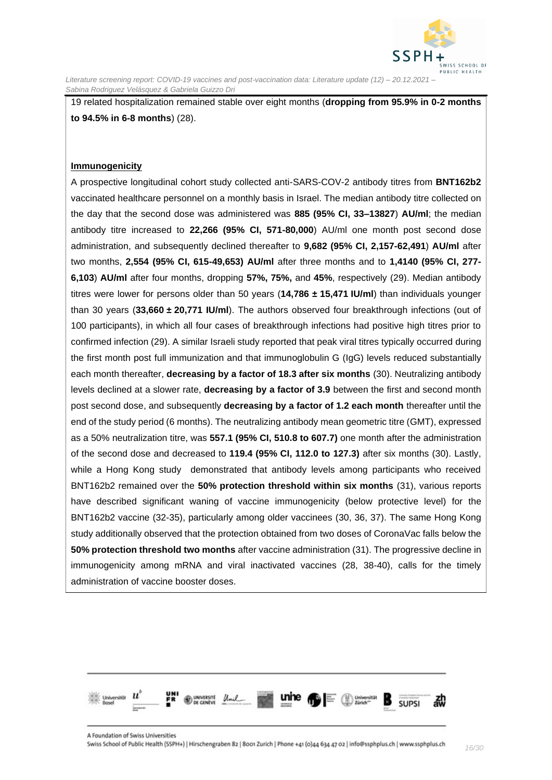

19 related hospitalization remained stable over eight months (**dropping from 95.9% in 0-2 months to 94.5% in 6-8 months**) (28).

#### **Immunogenicity**

A prospective longitudinal cohort study collected anti-SARS-COV-2 antibody titres from **BNT162b2**  vaccinated healthcare personnel on a monthly basis in Israel. The median antibody titre collected on the day that the second dose was administered was **885 (95% CI, 33–13827**) **AU/ml**; the median antibody titre increased to **22,266 (95% CI, 571-80,000**) AU/ml one month post second dose administration, and subsequently declined thereafter to **9,682 (95% CI, 2,157-62,491**) **AU/ml** after two months, **2,554 (95% CI, 615-49,653) AU/ml** after three months and to **1,4140 (95% CI, 277- 6,103**) **AU/ml** after four months, dropping **57%, 75%,** and **45%**, respectively (29). Median antibody titres were lower for persons older than 50 years (**14,786 ± 15,471 IU/ml**) than individuals younger than 30 years (**33,660 ± 20,771 IU/ml**). The authors observed four breakthrough infections (out of 100 participants), in which all four cases of breakthrough infections had positive high titres prior to confirmed infection (29). A similar Israeli study reported that peak viral titres typically occurred during the first month post full immunization and that immunoglobulin G (IgG) levels reduced substantially each month thereafter, **decreasing by a factor of 18.3 after six months** (30). Neutralizing antibody levels declined at a slower rate, **decreasing by a factor of 3.9** between the first and second month post second dose, and subsequently **decreasing by a factor of 1.2 each month** thereafter until the end of the study period (6 months). The neutralizing antibody mean geometric titre (GMT), expressed as a 50% neutralization titre, was **557.1 (95% CI, 510.8 to 607.7)** one month after the administration of the second dose and decreased to **119.4 (95% CI, 112.0 to 127.3)** after six months (30). Lastly, while a Hong Kong study demonstrated that antibody levels among participants who received BNT162b2 remained over the **50% protection threshold within six months** (31), various reports have described significant waning of vaccine immunogenicity (below protective level) for the BNT162b2 vaccine (32-35), particularly among older vaccinees (30, 36, 37). The same Hong Kong study additionally observed that the protection obtained from two doses of CoronaVac falls below the **50% protection threshold two months** after vaccine administration (31). The progressive decline in immunogenicity among mRNA and viral inactivated vaccines (28, 38-40), calls for the timely administration of vaccine booster doses.

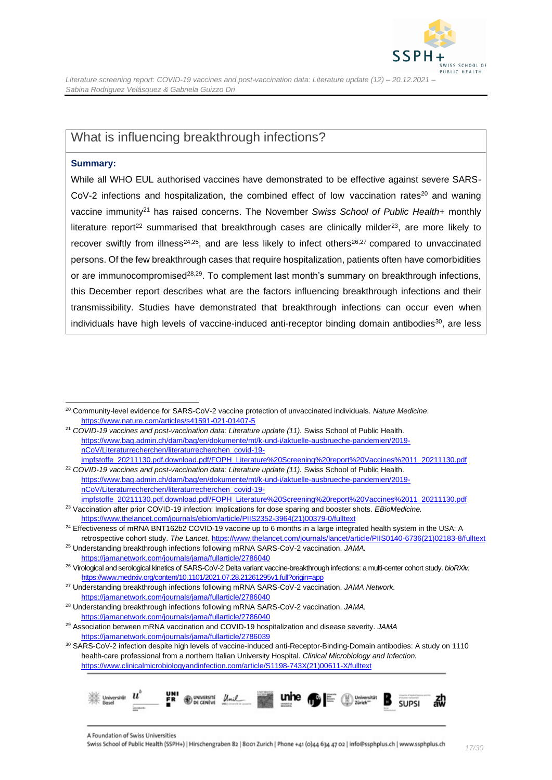

### <span id="page-16-0"></span>What is influencing breakthrough infections?

#### **Summary:**

While all WHO EUL authorised vaccines have demonstrated to be effective against severe SARS-CoV-2 infections and hospitalization, the combined effect of low vaccination rates<sup>20</sup> and waning vaccine immunity<sup>21</sup> has raised concerns. The November *Swiss School of Public Health+* monthly literature report<sup>22</sup> summarised that breakthrough cases are clinically milder<sup>23</sup>, are more likely to recover swiftly from illness<sup>24,25</sup>, and are less likely to infect others<sup>26,27</sup> compared to unvaccinated persons. Of the few breakthrough cases that require hospitalization, patients often have comorbidities or are immunocompromised<sup>28,29</sup>. To complement last month's summary on breakthrough infections, this December report describes what are the factors influencing breakthrough infections and their transmissibility. Studies have demonstrated that breakthrough infections can occur even when individuals have high levels of vaccine-induced anti-receptor binding domain antibodies<sup>30</sup>, are less

<sup>21</sup> COVID-19 vaccines and post-vaccination data: Literature update (11). Swiss School of Public Health. [https://www.bag.admin.ch/dam/bag/en/dokumente/mt/k-und-i/aktuelle-ausbrueche-pandemien/2019](https://www.bag.admin.ch/dam/bag/en/dokumente/mt/k-und-i/aktuelle-ausbrueche-pandemien/2019-nCoV/Literaturrecherchen/literaturrecherchen_covid-19-impfstoffe_20211130.pdf.download.pdf/FOPH_Literature%20Screening%20report%20Vaccines%2011_20211130.pdf) [nCoV/Literaturrecherchen/literaturrecherchen\\_covid-19-](https://www.bag.admin.ch/dam/bag/en/dokumente/mt/k-und-i/aktuelle-ausbrueche-pandemien/2019-nCoV/Literaturrecherchen/literaturrecherchen_covid-19-impfstoffe_20211130.pdf.download.pdf/FOPH_Literature%20Screening%20report%20Vaccines%2011_20211130.pdf)

[impfstoffe\\_20211130.pdf.download.pdf/FOPH\\_Literature%20Screening%20report%20Vaccines%2011\\_20211130.pdf](https://www.bag.admin.ch/dam/bag/en/dokumente/mt/k-und-i/aktuelle-ausbrueche-pandemien/2019-nCoV/Literaturrecherchen/literaturrecherchen_covid-19-impfstoffe_20211130.pdf.download.pdf/FOPH_Literature%20Screening%20report%20Vaccines%2011_20211130.pdf) <sup>22</sup> COVID-19 vaccines and post-vaccination data: Literature update (11). Swiss School of Public Health. [https://www.bag.admin.ch/dam/bag/en/dokumente/mt/k-und-i/aktuelle-ausbrueche-pandemien/2019](https://www.bag.admin.ch/dam/bag/en/dokumente/mt/k-und-i/aktuelle-ausbrueche-pandemien/2019-nCoV/Literaturrecherchen/literaturrecherchen_covid-19-impfstoffe_20211130.pdf.download.pdf/FOPH_Literature%20Screening%20report%20Vaccines%2011_20211130.pdf) [nCoV/Literaturrecherchen/literaturrecherchen\\_covid-19-](https://www.bag.admin.ch/dam/bag/en/dokumente/mt/k-und-i/aktuelle-ausbrueche-pandemien/2019-nCoV/Literaturrecherchen/literaturrecherchen_covid-19-impfstoffe_20211130.pdf.download.pdf/FOPH_Literature%20Screening%20report%20Vaccines%2011_20211130.pdf)

[https://www.thelancet.com/journals/ebiom/article/PIIS2352-3964\(21\)00379-0/fulltext](https://www.thelancet.com/journals/ebiom/article/PIIS2352-3964(21)00379-0/fulltext)

<sup>30</sup> SARS-CoV-2 infection despite high levels of vaccine-induced anti-Receptor-Binding-Domain antibodies: A study on 1110 health-care professional from a northern Italian University Hospital. *Clinical Microbiology and Infection.* [https://www.clinicalmicrobiologyandinfection.com/article/S1198-743X\(21\)00611-X/fulltext](https://www.clinicalmicrobiologyandinfection.com/article/S1198-743X(21)00611-X/fulltext)



<sup>20</sup> Community-level evidence for SARS-CoV-2 vaccine protection of unvaccinated individuals. *Nature Medicine*. <https://www.nature.com/articles/s41591-021-01407-5>

[impfstoffe\\_20211130.pdf.download.pdf/FOPH\\_Literature%20Screening%20report%20Vaccines%2011\\_20211130.pdf](https://www.bag.admin.ch/dam/bag/en/dokumente/mt/k-und-i/aktuelle-ausbrueche-pandemien/2019-nCoV/Literaturrecherchen/literaturrecherchen_covid-19-impfstoffe_20211130.pdf.download.pdf/FOPH_Literature%20Screening%20report%20Vaccines%2011_20211130.pdf) <sup>23</sup> Vaccination after prior COVID-19 infection: Implications for dose sparing and booster shots. *EBioMedicine.*

<sup>&</sup>lt;sup>24</sup> Effectiveness of mRNA BNT162b2 COVID-19 vaccine up to 6 months in a large integrated health system in the USA: A retrospective cohort study. *The Lancet.* [https://www.thelancet.com/journals/lancet/article/PIIS0140-6736\(21\)02183-8/fulltext](https://www.thelancet.com/journals/lancet/article/PIIS0140-6736(21)02183-8/fulltext)

<sup>25</sup> Understanding breakthrough infections following mRNA SARS-CoV-2 vaccination. *JAMA.*  <https://jamanetwork.com/journals/jama/fullarticle/2786040>

<sup>26</sup> Virological and serological kinetics of SARS-CoV-2 Delta variant vaccine-breakthrough infections: a multi-center cohort study. *bioRXiv.* <https://www.medrxiv.org/content/10.1101/2021.07.28.21261295v1.full?origin=app>

<sup>27</sup> Understanding breakthrough infections following mRNA SARS-CoV-2 vaccination. *JAMA Network.* <https://jamanetwork.com/journals/jama/fullarticle/2786040>

<sup>28</sup> Understanding breakthrough infections following mRNA SARS-CoV-2 vaccination. *JAMA.*  <https://jamanetwork.com/journals/jama/fullarticle/2786040>

<sup>29</sup> Association between mRNA vaccination and COVID-19 hospitalization and disease severity. *JAMA*  <https://jamanetwork.com/journals/jama/fullarticle/2786039>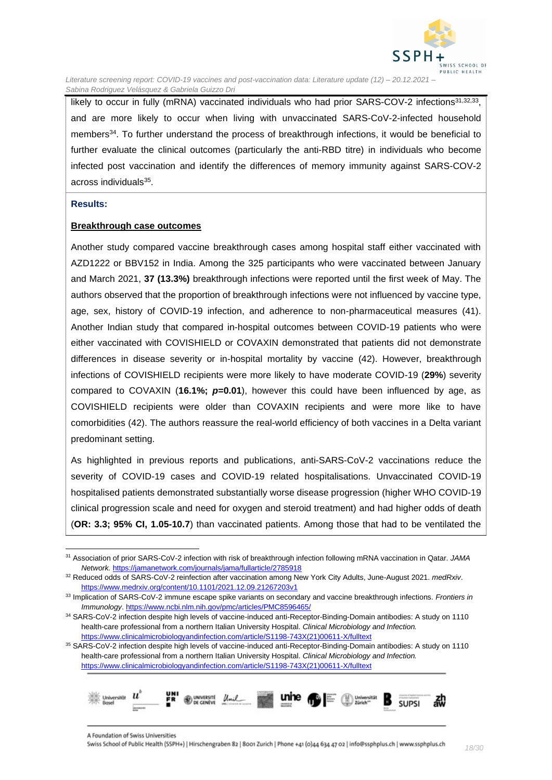

likely to occur in fully (mRNA) vaccinated individuals who had prior SARS-COV-2 infections<sup>31,32,33</sup>, and are more likely to occur when living with unvaccinated SARS-CoV-2-infected household members<sup>34</sup>. To further understand the process of breakthrough infections, it would be beneficial to further evaluate the clinical outcomes (particularly the anti-RBD titre) in individuals who become infected post vaccination and identify the differences of memory immunity against SARS-COV-2 across individuals<sup>35</sup>.

#### **Results:**

#### **Breakthrough case outcomes**

Another study compared vaccine breakthrough cases among hospital staff either vaccinated with AZD1222 or BBV152 in India. Among the 325 participants who were vaccinated between January and March 2021, **37 (13.3%)** breakthrough infections were reported until the first week of May. The authors observed that the proportion of breakthrough infections were not influenced by vaccine type, age, sex, history of COVID-19 infection, and adherence to non-pharmaceutical measures (41). Another Indian study that compared in-hospital outcomes between COVID-19 patients who were either vaccinated with COVISHIELD or COVAXIN demonstrated that patients did not demonstrate differences in disease severity or in-hospital mortality by vaccine (42). However, breakthrough infections of COVISHIELD recipients were more likely to have moderate COVID-19 (**29%**) severity compared to COVAXIN (**16.1%;** *p***=0.01**), however this could have been influenced by age, as COVISHIELD recipients were older than COVAXIN recipients and were more like to have comorbidities (42). The authors reassure the real-world efficiency of both vaccines in a Delta variant predominant setting.

As highlighted in previous reports and publications, anti-SARS-CoV-2 vaccinations reduce the severity of COVID-19 cases and COVID-19 related hospitalisations. Unvaccinated COVID-19 hospitalised patients demonstrated substantially worse disease progression (higher WHO COVID-19 clinical progression scale and need for oxygen and steroid treatment) and had higher odds of death (**OR: 3.3; 95% CI, 1.05-10.7**) than vaccinated patients. Among those that had to be ventilated the

<sup>35</sup> SARS-CoV-2 infection despite high levels of vaccine-induced anti-Receptor-Binding-Domain antibodies: A study on 1110 health-care professional from a northern Italian University Hospital. *Clinical Microbiology and Infection.* [https://www.clinicalmicrobiologyandinfection.com/article/S1198-743X\(21\)00611-X/fulltext](https://www.clinicalmicrobiologyandinfection.com/article/S1198-743X(21)00611-X/fulltext)



<sup>31</sup> Association of prior SARS-CoV-2 infection with risk of breakthrough infection following mRNA vaccination in Qatar. *JAMA Network.* <https://jamanetwork.com/journals/jama/fullarticle/2785918>

<sup>32</sup> Reduced odds of SARS-CoV-2 reinfection after vaccination among New York City Adults, June-August 2021. *medRxiv*. <https://www.medrxiv.org/content/10.1101/2021.12.09.21267203v1>

<sup>33</sup> Implication of SARS-CoV-2 immune escape spike variants on secondary and vaccine breakthrough infections. *Frontiers in Immunology*.<https://www.ncbi.nlm.nih.gov/pmc/articles/PMC8596465/>

<sup>34</sup> SARS-CoV-2 infection despite high levels of vaccine-induced anti-Receptor-Binding-Domain antibodies: A study on 1110 health-care professional from a northern Italian University Hospital. *Clinical Microbiology and Infection.* [https://www.clinicalmicrobiologyandinfection.com/article/S1198-743X\(21\)00611-X/fulltext](https://www.clinicalmicrobiologyandinfection.com/article/S1198-743X(21)00611-X/fulltext)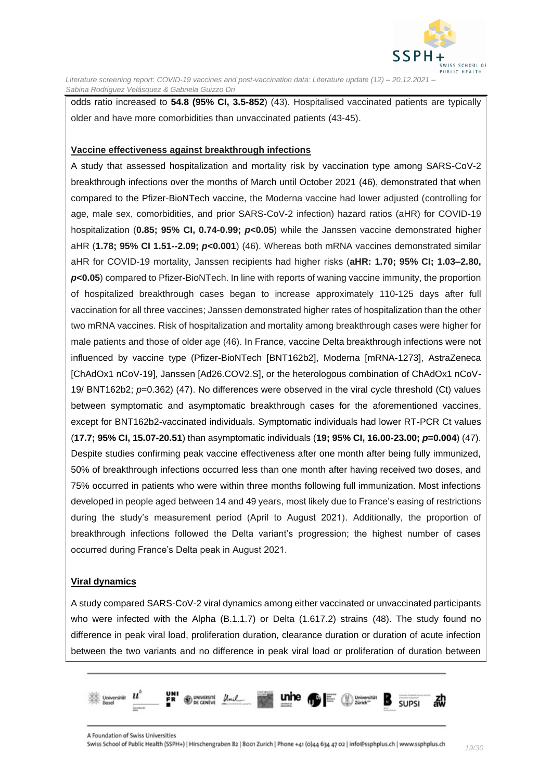

odds ratio increased to **54.8 (95% CI, 3.5-852**) (43). Hospitalised vaccinated patients are typically older and have more comorbidities than unvaccinated patients (43-45).

#### **Vaccine effectiveness against breakthrough infections**

A study that assessed hospitalization and mortality risk by vaccination type among SARS-CoV-2 breakthrough infections over the months of March until October 2021 (46), demonstrated that when compared to the Pfizer-BioNTech vaccine, the Moderna vaccine had lower adjusted (controlling for age, male sex, comorbidities, and prior SARS-CoV-2 infection) hazard ratios (aHR) for COVID-19 hospitalization (**0.85; 95% CI, 0.74-0.99;** *p***<0.05**) while the Janssen vaccine demonstrated higher aHR (**1.78; 95% CI 1.51--2.09;** *p***<0.001**) (46). Whereas both mRNA vaccines demonstrated similar aHR for COVID-19 mortality, Janssen recipients had higher risks (**aHR: 1.70; 95% CI; 1.03–2.80,**  *p***<0.05**) compared to Pfizer-BioNTech. In line with reports of waning vaccine immunity, the proportion of hospitalized breakthrough cases began to increase approximately 110-125 days after full vaccination for all three vaccines; Janssen demonstrated higher rates of hospitalization than the other two mRNA vaccines. Risk of hospitalization and mortality among breakthrough cases were higher for male patients and those of older age (46). In France, vaccine Delta breakthrough infections were not influenced by vaccine type (Pfizer-BioNTech [BNT162b2], Moderna [mRNA-1273], AstraZeneca [ChAdOx1 nCoV-19], Janssen [Ad26.COV2.S], or the heterologous combination of ChAdOx1 nCoV-19/ BNT162b2; *p*=0.362) (47). No differences were observed in the viral cycle threshold (Ct) values between symptomatic and asymptomatic breakthrough cases for the aforementioned vaccines, except for BNT162b2-vaccinated individuals. Symptomatic individuals had lower RT-PCR Ct values (**17.7; 95% CI, 15.07-20.51**) than asymptomatic individuals (**19; 95% CI, 16.00-23.00;** *p***=0.004**) (47). Despite studies confirming peak vaccine effectiveness after one month after being fully immunized, 50% of breakthrough infections occurred less than one month after having received two doses, and 75% occurred in patients who were within three months following full immunization. Most infections developed in people aged between 14 and 49 years, most likely due to France's easing of restrictions during the study's measurement period (April to August 2021). Additionally, the proportion of breakthrough infections followed the Delta variant's progression; the highest number of cases occurred during France's Delta peak in August 2021.

#### **Viral dynamics**

A study compared SARS-CoV-2 viral dynamics among either vaccinated or unvaccinated participants who were infected with the Alpha (B.1.1.7) or Delta (1.617.2) strains (48). The study found no difference in peak viral load, proliferation duration, clearance duration or duration of acute infection between the two variants and no difference in peak viral load or proliferation of duration between

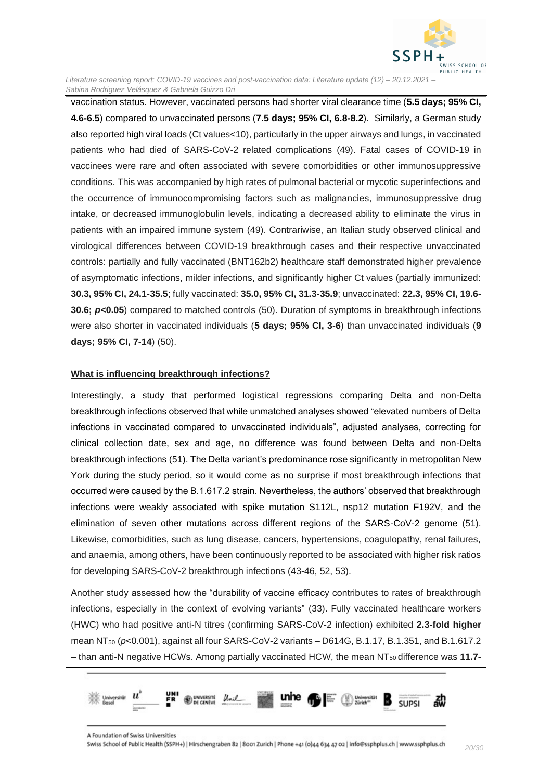

vaccination status. However, vaccinated persons had shorter viral clearance time (**5.5 days; 95% CI, 4.6-6.5**) compared to unvaccinated persons (**7.5 days; 95% CI, 6.8-8.2**). Similarly, a German study also reported high viral loads (Ct values<10), particularly in the upper airways and lungs, in vaccinated patients who had died of SARS-CoV-2 related complications (49). Fatal cases of COVID-19 in vaccinees were rare and often associated with severe comorbidities or other immunosuppressive conditions. This was accompanied by high rates of pulmonal bacterial or mycotic superinfections and the occurrence of immunocompromising factors such as malignancies, immunosuppressive drug intake, or decreased immunoglobulin levels, indicating a decreased ability to eliminate the virus in patients with an impaired immune system (49). Contrariwise, an Italian study observed clinical and virological differences between COVID-19 breakthrough cases and their respective unvaccinated controls: partially and fully vaccinated (BNT162b2) healthcare staff demonstrated higher prevalence of asymptomatic infections, milder infections, and significantly higher Ct values (partially immunized: **30.3, 95% CI, 24.1-35.5**; fully vaccinated: **35.0, 95% CI, 31.3-35.9**; unvaccinated: **22.3, 95% CI, 19.6- 30.6;** *p***<0.05**) compared to matched controls (50). Duration of symptoms in breakthrough infections were also shorter in vaccinated individuals (**5 days; 95% CI, 3-6**) than unvaccinated individuals (**9 days; 95% CI, 7-14**) (50).

#### **What is influencing breakthrough infections?**

Interestingly, a study that performed logistical regressions comparing Delta and non-Delta breakthrough infections observed that while unmatched analyses showed "elevated numbers of Delta infections in vaccinated compared to unvaccinated individuals", adjusted analyses, correcting for clinical collection date, sex and age, no difference was found between Delta and non-Delta breakthrough infections (51). The Delta variant's predominance rose significantly in metropolitan New York during the study period, so it would come as no surprise if most breakthrough infections that occurred were caused by the B.1.617.2 strain. Nevertheless, the authors' observed that breakthrough infections were weakly associated with spike mutation S112L, nsp12 mutation F192V, and the elimination of seven other mutations across different regions of the SARS-CoV-2 genome (51). Likewise, comorbidities, such as lung disease, cancers, hypertensions, coagulopathy, renal failures, and anaemia, among others, have been continuously reported to be associated with higher risk ratios for developing SARS-CoV-2 breakthrough infections (43-46, 52, 53).

Another study assessed how the "durability of vaccine efficacy contributes to rates of breakthrough infections, especially in the context of evolving variants" (33). Fully vaccinated healthcare workers (HWC) who had positive anti-N titres (confirming SARS-CoV-2 infection) exhibited **2.3-fold higher** mean NT<sup>50</sup> (*p*<0.001), against all four SARS-CoV-2 variants – D614G, B.1.17, B.1.351, and B.1.617.2  $-$  than anti-N negative HCWs. Among partially vaccinated HCW, the mean NT<sub>50</sub> difference was 11.7-

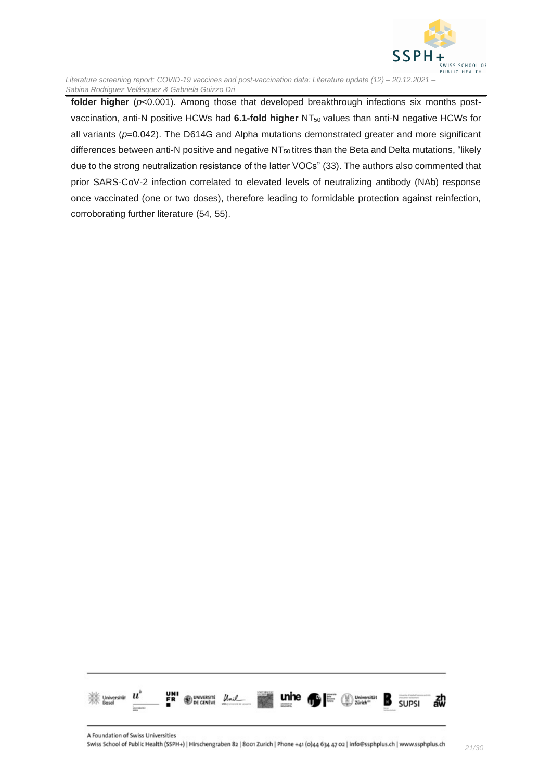

folder higher ( $p<0.001$ ). Among those that developed breakthrough infections six months postvaccination, anti-N positive HCWs had 6.1-fold higher NT<sub>50</sub> values than anti-N negative HCWs for all variants ( $p=0.042$ ). The D614G and Alpha mutations demonstrated greater and more significant differences between anti-N positive and negative NT<sub>50</sub> titres than the Beta and Delta mutations, "likely due to the strong neutralization resistance of the latter VOCs" (33). The authors also commented that prior SARS-CoV-2 infection correlated to elevated levels of neutralizing antibody (NAb) response once vaccinated (one or two doses), therefore leading to formidable protection against reinfection, corroborating further literature (54, 55).

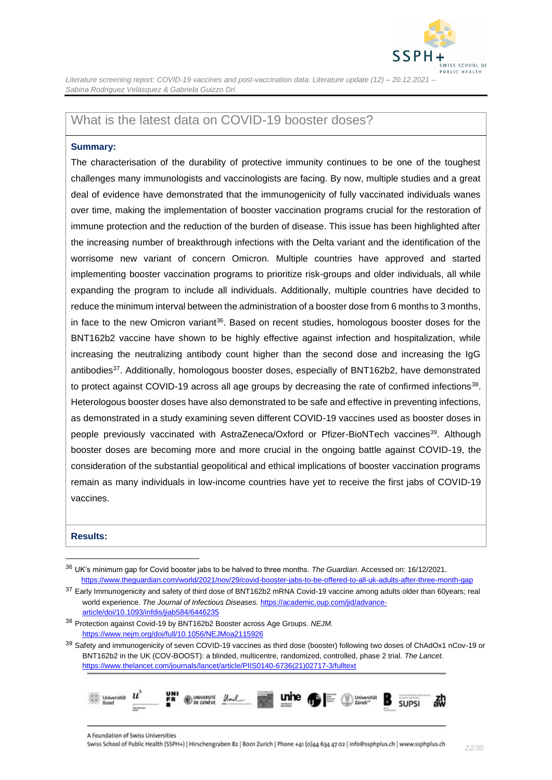

### <span id="page-21-0"></span>What is the latest data on COVID-19 booster doses?

#### **Summary:**

The characterisation of the durability of protective immunity continues to be one of the toughest challenges many immunologists and vaccinologists are facing. By now, multiple studies and a great deal of evidence have demonstrated that the immunogenicity of fully vaccinated individuals wanes over time, making the implementation of booster vaccination programs crucial for the restoration of immune protection and the reduction of the burden of disease. This issue has been highlighted after the increasing number of breakthrough infections with the Delta variant and the identification of the worrisome new variant of concern Omicron. Multiple countries have approved and started implementing booster vaccination programs to prioritize risk-groups and older individuals, all while expanding the program to include all individuals. Additionally, multiple countries have decided to reduce the minimum interval between the administration of a booster dose from 6 months to 3 months, in face to the new Omicron variant<sup>36</sup>. Based on recent studies, homologous booster doses for the BNT162b2 vaccine have shown to be highly effective against infection and hospitalization, while increasing the neutralizing antibody count higher than the second dose and increasing the IgG antibodies<sup>37</sup>. Additionally, homologous booster doses, especially of BNT162b2, have demonstrated to protect against COVID-19 across all age groups by decreasing the rate of confirmed infections<sup>38</sup>. Heterologous booster doses have also demonstrated to be safe and effective in preventing infections, as demonstrated in a study examining seven different COVID-19 vaccines used as booster doses in people previously vaccinated with AstraZeneca/Oxford or Pfizer-BioNTech vaccines<sup>39</sup>. Although booster doses are becoming more and more crucial in the ongoing battle against COVID-19, the consideration of the substantial geopolitical and ethical implications of booster vaccination programs remain as many individuals in low-income countries have yet to receive the first jabs of COVID-19 vaccines.

#### **Results:**

<sup>39</sup> Safety and immunogenicity of seven COVID-19 vaccines as third dose (booster) following two doses of ChAdOx1 nCov-19 or BNT162b2 in the UK (COV-BOOST): a blinded, multicentre, randomized, controlled, phase 2 trial. *The Lancet.*  [https://www.thelancet.com/journals/lancet/article/PIIS0140-6736\(21\)02717-3/fulltext](https://www.thelancet.com/journals/lancet/article/PIIS0140-6736(21)02717-3/fulltext)



<sup>36</sup> UK's minimum gap for Covid booster jabs to be halved to three months. *The Guardian.* Accessed on: 16/12/2021. <https://www.theguardian.com/world/2021/nov/29/covid-booster-jabs-to-be-offered-to-all-uk-adults-after-three-month-gap>

<sup>37</sup> Early Immunogenicity and safety of third dose of BNT162b2 mRNA Covid-19 vaccine among adults older than 60years; real world experience. *The Journal of Infectious Diseases.* [https://academic.oup.com/jid/advance](https://academic.oup.com/jid/advance-article/doi/10.1093/infdis/jiab584/6446235)[article/doi/10.1093/infdis/jiab584/6446235](https://academic.oup.com/jid/advance-article/doi/10.1093/infdis/jiab584/6446235)

<sup>38</sup> Protection against Covid-19 by BNT162b2 Booster across Age Groups. *NEJM.*  <https://www.nejm.org/doi/full/10.1056/NEJMoa2115926>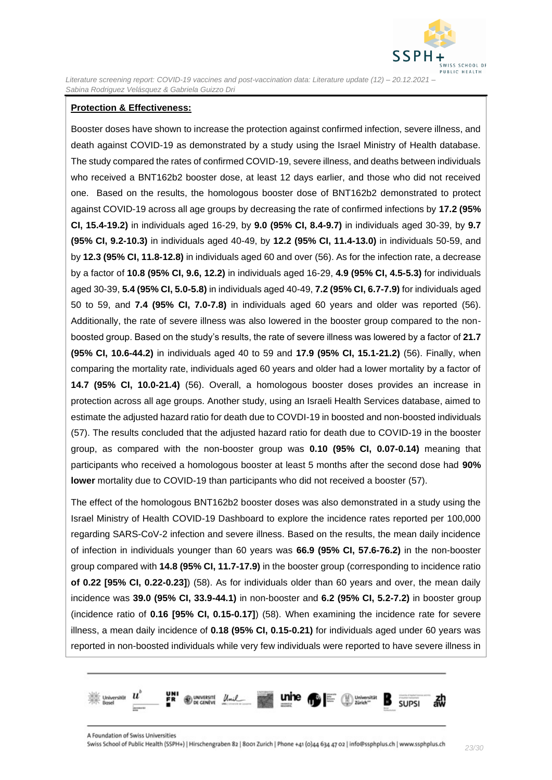

#### **Protection & Effectiveness:**

Booster doses have shown to increase the protection against confirmed infection, severe illness, and death against COVID-19 as demonstrated by a study using the Israel Ministry of Health database. The study compared the rates of confirmed COVID-19, severe illness, and deaths between individuals who received a BNT162b2 booster dose, at least 12 days earlier, and those who did not received one. Based on the results, the homologous booster dose of BNT162b2 demonstrated to protect against COVID-19 across all age groups by decreasing the rate of confirmed infections by **17.2 (95% CI, 15.4-19.2)** in individuals aged 16-29, by **9.0 (95% CI, 8.4-9.7)** in individuals aged 30-39, by **9.7 (95% CI, 9.2-10.3)** in individuals aged 40-49, by **12.2 (95% CI, 11.4-13.0)** in individuals 50-59, and by **12.3 (95% CI, 11.8-12.8)** in individuals aged 60 and over (56). As for the infection rate, a decrease by a factor of **10.8 (95% CI, 9.6, 12.2)** in individuals aged 16-29, **4.9 (95% CI, 4.5-5.3)** for individuals aged 30-39, **5.4 (95% CI, 5.0-5.8)** in individuals aged 40-49, **7.2 (95% CI, 6.7-7.9)** for individuals aged 50 to 59, and **7.4 (95% CI, 7.0-7.8)** in individuals aged 60 years and older was reported (56). Additionally, the rate of severe illness was also lowered in the booster group compared to the nonboosted group. Based on the study's results, the rate of severe illness was lowered by a factor of **21.7 (95% CI, 10.6-44.2)** in individuals aged 40 to 59 and **17.9 (95% CI, 15.1-21.2)** (56). Finally, when comparing the mortality rate, individuals aged 60 years and older had a lower mortality by a factor of **14.7 (95% CI, 10.0-21.4)** (56). Overall, a homologous booster doses provides an increase in protection across all age groups. Another study, using an Israeli Health Services database, aimed to estimate the adjusted hazard ratio for death due to COVDI-19 in boosted and non-boosted individuals (57). The results concluded that the adjusted hazard ratio for death due to COVID-19 in the booster group, as compared with the non-booster group was **0.10 (95% CI, 0.07-0.14)** meaning that participants who received a homologous booster at least 5 months after the second dose had **90% lower** mortality due to COVID-19 than participants who did not received a booster (57).

The effect of the homologous BNT162b2 booster doses was also demonstrated in a study using the Israel Ministry of Health COVID-19 Dashboard to explore the incidence rates reported per 100,000 regarding SARS-CoV-2 infection and severe illness. Based on the results, the mean daily incidence of infection in individuals younger than 60 years was **66.9 (95% CI, 57.6-76.2)** in the non-booster group compared with **14.8 (95% CI, 11.7-17.9)** in the booster group (corresponding to incidence ratio **of 0.22 [95% CI, 0.22-0.23]**) (58). As for individuals older than 60 years and over, the mean daily incidence was **39.0 (95% CI, 33.9-44.1)** in non-booster and **6.2 (95% CI, 5.2-7.2)** in booster group (incidence ratio of **0.16 [95% CI, 0.15-0.17]**) (58). When examining the incidence rate for severe illness, a mean daily incidence of **0.18 (95% CI, 0.15-0.21)** for individuals aged under 60 years was reported in non-boosted individuals while very few individuals were reported to have severe illness in

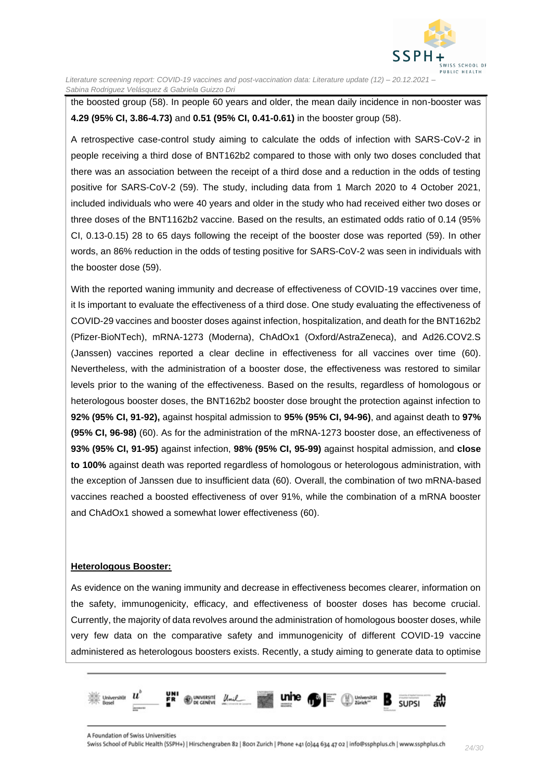

the boosted group (58). In people 60 years and older, the mean daily incidence in non-booster was **4.29 (95% CI, 3.86-4.73)** and **0.51 (95% CI, 0.41-0.61)** in the booster group (58).

A retrospective case-control study aiming to calculate the odds of infection with SARS-CoV-2 in people receiving a third dose of BNT162b2 compared to those with only two doses concluded that there was an association between the receipt of a third dose and a reduction in the odds of testing positive for SARS-CoV-2 (59). The study, including data from 1 March 2020 to 4 October 2021, included individuals who were 40 years and older in the study who had received either two doses or three doses of the BNT1162b2 vaccine. Based on the results, an estimated odds ratio of 0.14 (95% CI, 0.13-0.15) 28 to 65 days following the receipt of the booster dose was reported (59). In other words, an 86% reduction in the odds of testing positive for SARS-CoV-2 was seen in individuals with the booster dose (59).

With the reported waning immunity and decrease of effectiveness of COVID-19 vaccines over time, it Is important to evaluate the effectiveness of a third dose. One study evaluating the effectiveness of COVID-29 vaccines and booster doses against infection, hospitalization, and death for the BNT162b2 (Pfizer-BioNTech), mRNA-1273 (Moderna), ChAdOx1 (Oxford/AstraZeneca), and Ad26.COV2.S (Janssen) vaccines reported a clear decline in effectiveness for all vaccines over time (60). Nevertheless, with the administration of a booster dose, the effectiveness was restored to similar levels prior to the waning of the effectiveness. Based on the results, regardless of homologous or heterologous booster doses, the BNT162b2 booster dose brought the protection against infection to **92% (95% CI, 91-92),** against hospital admission to **95% (95% CI, 94-96)**, and against death to **97% (95% CI, 96-98)** (60). As for the administration of the mRNA-1273 booster dose, an effectiveness of **93% (95% CI, 91-95)** against infection, **98% (95% CI, 95-99)** against hospital admission, and **close to 100%** against death was reported regardless of homologous or heterologous administration, with the exception of Janssen due to insufficient data (60). Overall, the combination of two mRNA-based vaccines reached a boosted effectiveness of over 91%, while the combination of a mRNA booster and ChAdOx1 showed a somewhat lower effectiveness (60).

#### **Heterologous Booster:**

As evidence on the waning immunity and decrease in effectiveness becomes clearer, information on the safety, immunogenicity, efficacy, and effectiveness of booster doses has become crucial. Currently, the majority of data revolves around the administration of homologous booster doses, while very few data on the comparative safety and immunogenicity of different COVID-19 vaccine administered as heterologous boosters exists. Recently, a study aiming to generate data to optimise

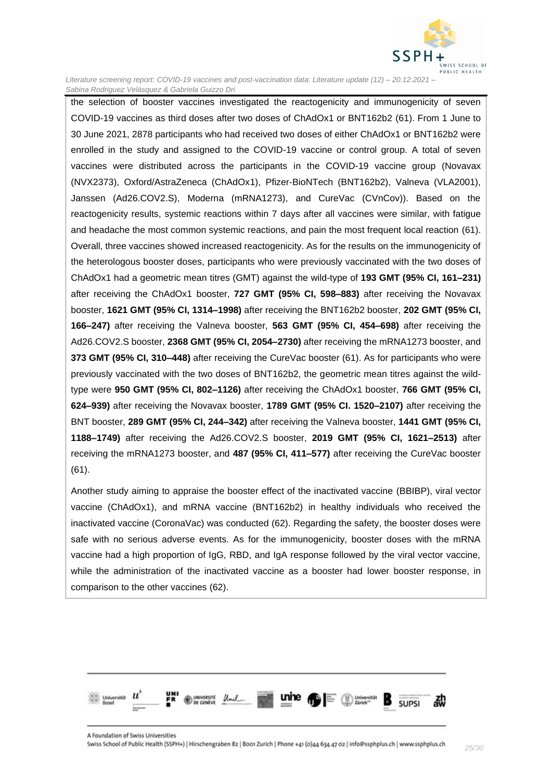

the selection of booster vaccines investigated the reactogenicity and immunogenicity of seven COVID-19 vaccines as third doses after two doses of ChAdOx1 or BNT162b2 (61). From 1 June to 30 June 2021, 2878 participants who had received two doses of either ChAdOx1 or BNT162b2 were enrolled in the study and assigned to the COVID-19 vaccine or control group. A total of seven vaccines were distributed across the participants in the COVID-19 vaccine group (Novavax (NVX2373), Oxford/AstraZeneca (ChAdOx1), Pfizer-BioNTech (BNT162b2), Valneva (VLA2001), Janssen (Ad26.COV2.S), Moderna (mRNA1273), and CureVac (CVnCov)). Based on the reactogenicity results, systemic reactions within 7 days after all vaccines were similar, with fatigue and headache the most common systemic reactions, and pain the most frequent local reaction (61). Overall, three vaccines showed increased reactogenicity. As for the results on the immunogenicity of the heterologous booster doses, participants who were previously vaccinated with the two doses of ChAdOx1 had a geometric mean titres (GMT) against the wild-type of **193 GMT (95% CI, 161–231)** after receiving the ChAdOx1 booster, **727 GMT (95% CI, 598–883)** after receiving the Novavax booster, **1621 GMT (95% CI, 1314–1998)** after receiving the BNT162b2 booster, **202 GMT (95% CI, 166–247)** after receiving the Valneva booster, **563 GMT (95% CI, 454–698)** after receiving the Ad26.COV2.S booster, **2368 GMT (95% CI, 2054–2730)** after receiving the mRNA1273 booster, and **373 GMT (95% CI, 310–448)** after receiving the CureVac booster (61). As for participants who were previously vaccinated with the two doses of BNT162b2, the geometric mean titres against the wildtype were **950 GMT (95% CI, 802–1126)** after receiving the ChAdOx1 booster, **766 GMT (95% CI, 624–939)** after receiving the Novavax booster, **1789 GMT (95% CI. 1520–2107)** after receiving the BNT booster, **289 GMT (95% CI, 244–342)** after receiving the Valneva booster, **1441 GMT (95% CI, 1188–1749)** after receiving the Ad26.COV2.S booster, **2019 GMT (95% CI, 1621–2513)** after receiving the mRNA1273 booster, and **487 (95% CI, 411–577)** after receiving the CureVac booster (61).

Another study aiming to appraise the booster effect of the inactivated vaccine (BBIBP), viral vector vaccine (ChAdOx1), and mRNA vaccine (BNT162b2) in healthy individuals who received the inactivated vaccine (CoronaVac) was conducted (62). Regarding the safety, the booster doses were safe with no serious adverse events. As for the immunogenicity, booster doses with the mRNA vaccine had a high proportion of IgG, RBD, and IgA response followed by the viral vector vaccine, while the administration of the inactivated vaccine as a booster had lower booster response, in comparison to the other vaccines (62).

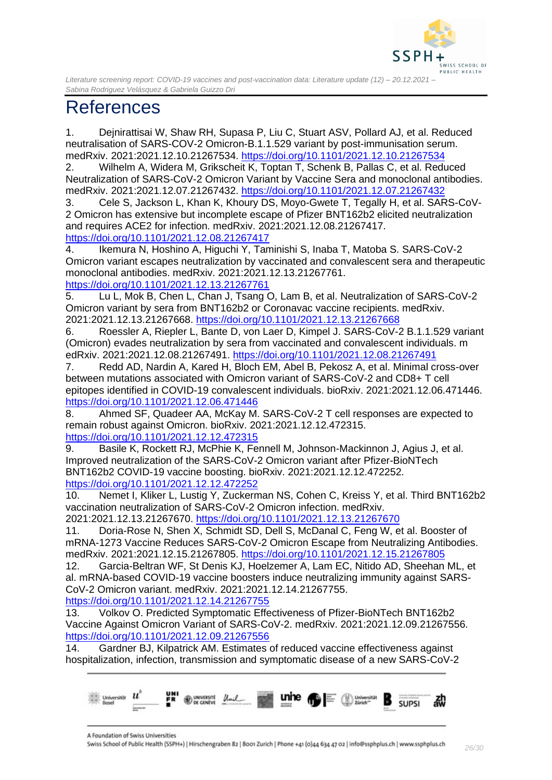

## <span id="page-25-0"></span>References

1. Dejnirattisai W, Shaw RH, Supasa P, Liu C, Stuart ASV, Pollard AJ, et al. Reduced neutralisation of SARS-COV-2 Omicron-B.1.1.529 variant by post-immunisation serum. medRxiv. 2021:2021.12.10.21267534.<https://doi.org/10.1101/2021.12.10.21267534>

2. Wilhelm A, Widera M, Grikscheit K, Toptan T, Schenk B, Pallas C, et al. Reduced Neutralization of SARS-CoV-2 Omicron Variant by Vaccine Sera and monoclonal antibodies. medRxiv. 2021:2021.12.07.21267432.<https://doi.org/10.1101/2021.12.07.21267432>

3. Cele S, Jackson L, Khan K, Khoury DS, Moyo-Gwete T, Tegally H, et al. SARS-CoV-2 Omicron has extensive but incomplete escape of Pfizer BNT162b2 elicited neutralization and requires ACE2 for infection. medRxiv. 2021:2021.12.08.21267417. <https://doi.org/10.1101/2021.12.08.21267417>

4. Ikemura N, Hoshino A, Higuchi Y, Taminishi S, Inaba T, Matoba S. SARS-CoV-2 Omicron variant escapes neutralization by vaccinated and convalescent sera and therapeutic monoclonal antibodies. medRxiv. 2021:2021.12.13.21267761. <https://doi.org/10.1101/2021.12.13.21267761>

5. Lu L, Mok B, Chen L, Chan J, Tsang O, Lam B, et al. Neutralization of SARS-CoV-2 Omicron variant by sera from BNT162b2 or Coronavac vaccine recipients. medRxiv. 2021:2021.12.13.21267668.<https://doi.org/10.1101/2021.12.13.21267668>

6. Roessler A, Riepler L, Bante D, von Laer D, Kimpel J. SARS-CoV-2 B.1.1.529 variant (Omicron) evades neutralization by sera from vaccinated and convalescent individuals. m edRxiv. 2021:2021.12.08.21267491.<https://doi.org/10.1101/2021.12.08.21267491>

7. Redd AD, Nardin A, Kared H, Bloch EM, Abel B, Pekosz A, et al. Minimal cross-over between mutations associated with Omicron variant of SARS-CoV-2 and CD8+ T cell epitopes identified in COVID-19 convalescent individuals. bioRxiv. 2021:2021.12.06.471446. <https://doi.org/10.1101/2021.12.06.471446>

8. Ahmed SF, Quadeer AA, McKay M. SARS-CoV-2 T cell responses are expected to remain robust against Omicron. bioRxiv. 2021:2021.12.12.472315. <https://doi.org/10.1101/2021.12.12.472315>

9. Basile K, Rockett RJ, McPhie K, Fennell M, Johnson-Mackinnon J, Agius J, et al. Improved neutralization of the SARS-CoV-2 Omicron variant after Pfizer-BioNTech BNT162b2 COVID-19 vaccine boosting. bioRxiv. 2021:2021.12.12.472252. <https://doi.org/10.1101/2021.12.12.472252>

10. Nemet I, Kliker L, Lustig Y, Zuckerman NS, Cohen C, Kreiss Y, et al. Third BNT162b2 vaccination neutralization of SARS-CoV-2 Omicron infection. medRxiv.

2021:2021.12.13.21267670.<https://doi.org/10.1101/2021.12.13.21267670>

11. Doria-Rose N, Shen X, Schmidt SD, Dell S, McDanal C, Feng W, et al. Booster of mRNA-1273 Vaccine Reduces SARS-CoV-2 Omicron Escape from Neutralizing Antibodies. medRxiv. 2021:2021.12.15.21267805.<https://doi.org/10.1101/2021.12.15.21267805>

12. Garcia-Beltran WF, St Denis KJ, Hoelzemer A, Lam EC, Nitido AD, Sheehan ML, et al. mRNA-based COVID-19 vaccine boosters induce neutralizing immunity against SARS-CoV-2 Omicron variant. medRxiv. 2021:2021.12.14.21267755.

<https://doi.org/10.1101/2021.12.14.21267755>

13. Volkov O. Predicted Symptomatic Effectiveness of Pfizer-BioNTech BNT162b2 Vaccine Against Omicron Variant of SARS-CoV-2. medRxiv. 2021:2021.12.09.21267556. <https://doi.org/10.1101/2021.12.09.21267556>

14. Gardner BJ, Kilpatrick AM. Estimates of reduced vaccine effectiveness against hospitalization, infection, transmission and symptomatic disease of a new SARS-CoV-2



A Foundation of Swiss Universities

Swiss School of Public Health (SSPH+) | Hirschengraben 82 | 8001 Zurich | Phone +41 (0)44 634 47 02 | info@ssphplus.ch | www.ssphplus.ch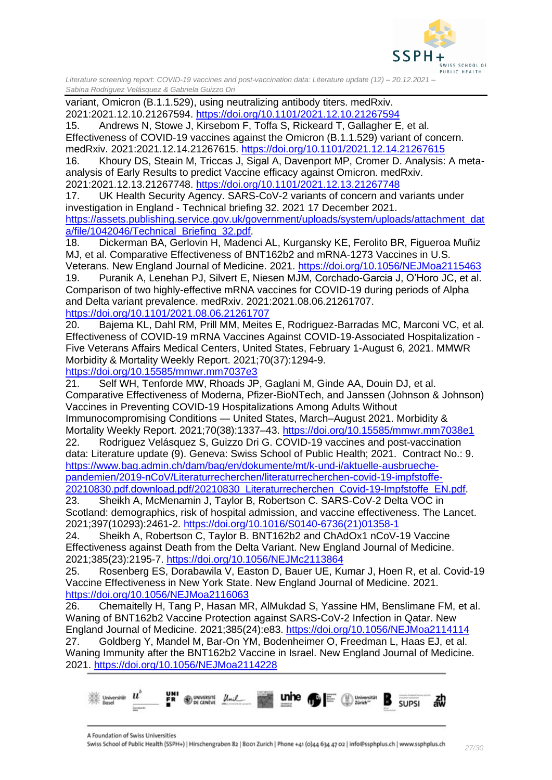

variant, Omicron (B.1.1.529), using neutralizing antibody titers. medRxiv. 2021:2021.12.10.21267594.<https://doi.org/10.1101/2021.12.10.21267594>

15. Andrews N, Stowe J, Kirsebom F, Toffa S, Rickeard T, Gallagher E, et al. Effectiveness of COVID-19 vaccines against the Omicron (B.1.1.529) variant of concern. medRxiv. 2021:2021.12.14.21267615.<https://doi.org/10.1101/2021.12.14.21267615>

16. Khoury DS, Steain M, Triccas J, Sigal A, Davenport MP, Cromer D. Analysis: A metaanalysis of Early Results to predict Vaccine efficacy against Omicron. medRxiv. 2021:2021.12.13.21267748.<https://doi.org/10.1101/2021.12.13.21267748>

17. UK Health Security Agency. SARS-CoV-2 variants of concern and variants under investigation in England - Technical briefing 32. 2021 17 December 2021. [https://assets.publishing.service.gov.uk/government/uploads/system/uploads/attachment\\_dat](https://assets.publishing.service.gov.uk/government/uploads/system/uploads/attachment_data/file/1042046/Technical_Briefing_32.pdf)

[a/file/1042046/Technical\\_Briefing\\_32.pdf.](https://assets.publishing.service.gov.uk/government/uploads/system/uploads/attachment_data/file/1042046/Technical_Briefing_32.pdf)

18. Dickerman BA, Gerlovin H, Madenci AL, Kurgansky KE, Ferolito BR, Figueroa Muñiz MJ, et al. Comparative Effectiveness of BNT162b2 and mRNA-1273 Vaccines in U.S. Veterans. New England Journal of Medicine. 2021.<https://doi.org/10.1056/NEJMoa2115463>

19. Puranik A, Lenehan PJ, Silvert E, Niesen MJM, Corchado-Garcia J, O'Horo JC, et al. Comparison of two highly-effective mRNA vaccines for COVID-19 during periods of Alpha and Delta variant prevalence. medRxiv. 2021:2021.08.06.21261707. <https://doi.org/10.1101/2021.08.06.21261707>

20. Bajema KL, Dahl RM, Prill MM, Meites E, Rodriguez-Barradas MC, Marconi VC, et al. Effectiveness of COVID-19 mRNA Vaccines Against COVID-19-Associated Hospitalization - Five Veterans Affairs Medical Centers, United States, February 1-August 6, 2021. MMWR Morbidity & Mortality Weekly Report. 2021;70(37):1294-9.

<https://doi.org/10.15585/mmwr.mm7037e3>

21. Self WH, Tenforde MW, Rhoads JP, Gaglani M, Ginde AA, Douin DJ, et al. Comparative Effectiveness of Moderna, Pfizer-BioNTech, and Janssen (Johnson & Johnson) Vaccines in Preventing COVID-19 Hospitalizations Among Adults Without Immunocompromising Conditions — United States, March–August 2021. Morbidity & Mortality Weekly Report. 2021;70(38):1337–43.<https://doi.org/10.15585/mmwr.mm7038e1>

22. Rodriguez Velásquez S, Guizzo Dri G. COVID-19 vaccines and post-vaccination data: Literature update (9). Geneva: Swiss School of Public Health; 2021. Contract No.: 9. [https://www.bag.admin.ch/dam/bag/en/dokumente/mt/k-und-i/aktuelle-ausbrueche](https://www.bag.admin.ch/dam/bag/en/dokumente/mt/k-und-i/aktuelle-ausbrueche-pandemien/2019-nCoV/Literaturrecherchen/literaturrecherchen-covid-19-impfstoffe-20210830.pdf.download.pdf/20210830_Literaturrecherchen_Covid-19-Impfstoffe_EN.pdf)[pandemien/2019-nCoV/Literaturrecherchen/literaturrecherchen-covid-19-impfstoffe-](https://www.bag.admin.ch/dam/bag/en/dokumente/mt/k-und-i/aktuelle-ausbrueche-pandemien/2019-nCoV/Literaturrecherchen/literaturrecherchen-covid-19-impfstoffe-20210830.pdf.download.pdf/20210830_Literaturrecherchen_Covid-19-Impfstoffe_EN.pdf)[20210830.pdf.download.pdf/20210830\\_Literaturrecherchen\\_Covid-19-Impfstoffe\\_EN.pdf.](https://www.bag.admin.ch/dam/bag/en/dokumente/mt/k-und-i/aktuelle-ausbrueche-pandemien/2019-nCoV/Literaturrecherchen/literaturrecherchen-covid-19-impfstoffe-20210830.pdf.download.pdf/20210830_Literaturrecherchen_Covid-19-Impfstoffe_EN.pdf)

23. Sheikh A, McMenamin J, Taylor B, Robertson C. SARS-CoV-2 Delta VOC in Scotland: demographics, risk of hospital admission, and vaccine effectiveness. The Lancet. 2021;397(10293):2461-2. [https://doi.org/10.1016/S0140-6736\(21\)01358-1](https://doi.org/10.1016/S0140-6736(21)01358-1)

24. Sheikh A, Robertson C, Taylor B. BNT162b2 and ChAdOx1 nCoV-19 Vaccine Effectiveness against Death from the Delta Variant. New England Journal of Medicine. 2021;385(23):2195-7.<https://doi.org/10.1056/NEJMc2113864>

25. Rosenberg ES, Dorabawila V, Easton D, Bauer UE, Kumar J, Hoen R, et al. Covid-19 Vaccine Effectiveness in New York State. New England Journal of Medicine. 2021. <https://doi.org/10.1056/NEJMoa2116063>

26. Chemaitelly H, Tang P, Hasan MR, AlMukdad S, Yassine HM, Benslimane FM, et al. Waning of BNT162b2 Vaccine Protection against SARS-CoV-2 Infection in Qatar. New England Journal of Medicine. 2021;385(24):e83.<https://doi.org/10.1056/NEJMoa2114114> 27. Goldberg Y, Mandel M, Bar-On YM, Bodenheimer O, Freedman L, Haas EJ, et al. Waning Immunity after the BNT162b2 Vaccine in Israel. New England Journal of Medicine. 2021.<https://doi.org/10.1056/NEJMoa2114228>



A Foundation of Swiss Universities

Swiss School of Public Health (SSPH+) | Hirschengraben 82 | 8001 Zurich | Phone +41 (0)44 634 47 02 | info@ssphplus.ch | www.ssphplus.ch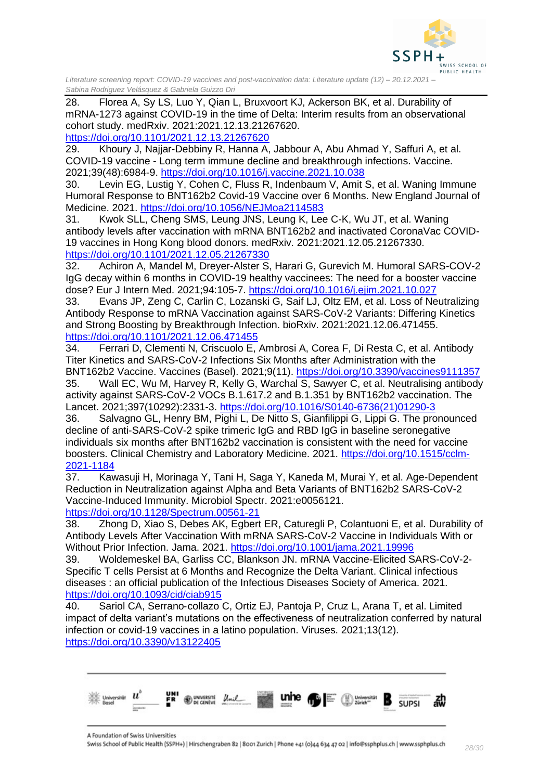

28. Florea A, Sy LS, Luo Y, Qian L, Bruxvoort KJ, Ackerson BK, et al. Durability of mRNA-1273 against COVID-19 in the time of Delta: Interim results from an observational cohort study. medRxiv. 2021:2021.12.13.21267620.

<https://doi.org/10.1101/2021.12.13.21267620>

29. Khoury J, Najjar-Debbiny R, Hanna A, Jabbour A, Abu Ahmad Y, Saffuri A, et al. COVID-19 vaccine - Long term immune decline and breakthrough infections. Vaccine. 2021;39(48):6984-9.<https://doi.org/10.1016/j.vaccine.2021.10.038>

30. Levin EG, Lustig Y, Cohen C, Fluss R, Indenbaum V, Amit S, et al. Waning Immune Humoral Response to BNT162b2 Covid-19 Vaccine over 6 Months. New England Journal of Medicine. 2021.<https://doi.org/10.1056/NEJMoa2114583>

31. Kwok SLL, Cheng SMS, Leung JNS, Leung K, Lee C-K, Wu JT, et al. Waning antibody levels after vaccination with mRNA BNT162b2 and inactivated CoronaVac COVID-19 vaccines in Hong Kong blood donors. medRxiv. 2021:2021.12.05.21267330. <https://doi.org/10.1101/2021.12.05.21267330>

32. Achiron A, Mandel M, Dreyer-Alster S, Harari G, Gurevich M. Humoral SARS-COV-2 IgG decay within 6 months in COVID-19 healthy vaccinees: The need for a booster vaccine dose? Eur J Intern Med. 2021;94:105-7.<https://doi.org/10.1016/j.ejim.2021.10.027>

33. Evans JP, Zeng C, Carlin C, Lozanski G, Saif LJ, Oltz EM, et al. Loss of Neutralizing Antibody Response to mRNA Vaccination against SARS-CoV-2 Variants: Differing Kinetics and Strong Boosting by Breakthrough Infection. bioRxiv. 2021:2021.12.06.471455. <https://doi.org/10.1101/2021.12.06.471455>

34. Ferrari D, Clementi N, Criscuolo E, Ambrosi A, Corea F, Di Resta C, et al. Antibody Titer Kinetics and SARS-CoV-2 Infections Six Months after Administration with the

BNT162b2 Vaccine. Vaccines (Basel). 2021;9(11).<https://doi.org/10.3390/vaccines9111357> 35. Wall EC, Wu M, Harvey R, Kelly G, Warchal S, Sawyer C, et al. Neutralising antibody activity against SARS-CoV-2 VOCs B.1.617.2 and B.1.351 by BNT162b2 vaccination. The Lancet. 2021;397(10292):2331-3. [https://doi.org/10.1016/S0140-6736\(21\)01290-3](https://doi.org/10.1016/S0140-6736(21)01290-3)

36. Salvagno GL, Henry BM, Pighi L, De Nitto S, Gianfilippi G, Lippi G. The pronounced decline of anti-SARS-CoV-2 spike trimeric IgG and RBD IgG in baseline seronegative individuals six months after BNT162b2 vaccination is consistent with the need for vaccine boosters. Clinical Chemistry and Laboratory Medicine. 2021. [https://doi.org/10.1515/cclm-](https://doi.org/10.1515/cclm-2021-1184)[2021-1184](https://doi.org/10.1515/cclm-2021-1184)

37. Kawasuji H, Morinaga Y, Tani H, Saga Y, Kaneda M, Murai Y, et al. Age-Dependent Reduction in Neutralization against Alpha and Beta Variants of BNT162b2 SARS-CoV-2 Vaccine-Induced Immunity. Microbiol Spectr. 2021:e0056121. <https://doi.org/10.1128/Spectrum.00561-21>

38. Zhong D, Xiao S, Debes AK, Egbert ER, Caturegli P, Colantuoni E, et al. Durability of Antibody Levels After Vaccination With mRNA SARS-CoV-2 Vaccine in Individuals With or Without Prior Infection. Jama. 2021.<https://doi.org/10.1001/jama.2021.19996>

39. Woldemeskel BA, Garliss CC, Blankson JN. mRNA Vaccine-Elicited SARS-CoV-2- Specific T cells Persist at 6 Months and Recognize the Delta Variant. Clinical infectious diseases : an official publication of the Infectious Diseases Society of America. 2021. <https://doi.org/10.1093/cid/ciab915>

40. Sariol CA, Serrano‐collazo C, Ortiz EJ, Pantoja P, Cruz L, Arana T, et al. Limited impact of delta variant's mutations on the effectiveness of neutralization conferred by natural infection or covid‐19 vaccines in a latino population. Viruses. 2021;13(12). <https://doi.org/10.3390/v13122405>

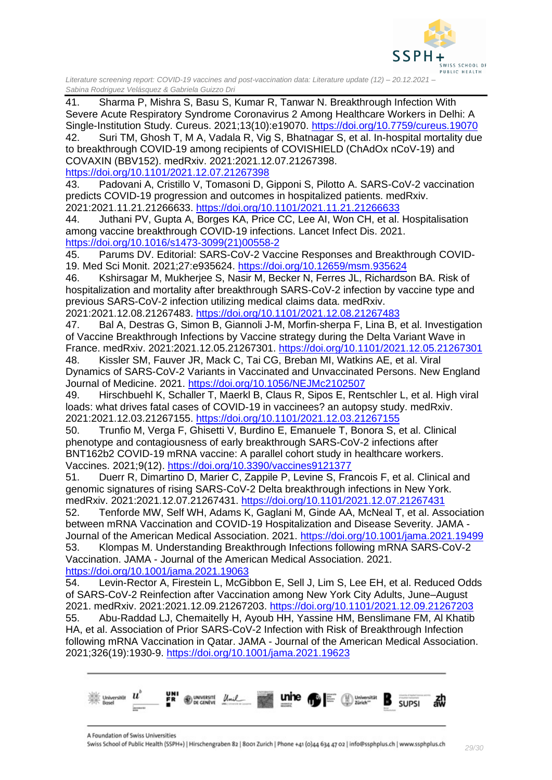

41. Sharma P, Mishra S, Basu S, Kumar R, Tanwar N. Breakthrough Infection With Severe Acute Respiratory Syndrome Coronavirus 2 Among Healthcare Workers in Delhi: A Single-Institution Study. Cureus. 2021;13(10):e19070.<https://doi.org/10.7759/cureus.19070> 42. Suri TM, Ghosh T, M A, Vadala R, Vig S, Bhatnagar S, et al. In-hospital mortality due to breakthrough COVID-19 among recipients of COVISHIELD (ChAdOx nCoV-19) and COVAXIN (BBV152). medRxiv. 2021:2021.12.07.21267398. <https://doi.org/10.1101/2021.12.07.21267398> 43. Padovani A, Cristillo V, Tomasoni D, Gipponi S, Pilotto A. SARS-CoV-2 vaccination predicts COVID-19 progression and outcomes in hospitalized patients. medRxiv. 2021:2021.11.21.21266633.<https://doi.org/10.1101/2021.11.21.21266633> 44. Juthani PV, Gupta A, Borges KA, Price CC, Lee AI, Won CH, et al. Hospitalisation among vaccine breakthrough COVID-19 infections. Lancet Infect Dis. 2021. [https://doi.org/10.1016/s1473-3099\(21\)00558-2](https://doi.org/10.1016/s1473-3099(21)00558-2)

45. Parums DV. Editorial: SARS-CoV-2 Vaccine Responses and Breakthrough COVID-19. Med Sci Monit. 2021;27:e935624.<https://doi.org/10.12659/msm.935624>

46. Kshirsagar M, Mukherjee S, Nasir M, Becker N, Ferres JL, Richardson BA. Risk of hospitalization and mortality after breakthrough SARS-CoV-2 infection by vaccine type and previous SARS-CoV-2 infection utilizing medical claims data. medRxiv.

2021:2021.12.08.21267483.<https://doi.org/10.1101/2021.12.08.21267483>

47. Bal A, Destras G, Simon B, Giannoli J-M, Morfin-sherpa F, Lina B, et al. Investigation of Vaccine Breakthrough Infections by Vaccine strategy during the Delta Variant Wave in France. medRxiv. 2021:2021.12.05.21267301.<https://doi.org/10.1101/2021.12.05.21267301>

48. Kissler SM, Fauver JR, Mack C, Tai CG, Breban MI, Watkins AE, et al. Viral Dynamics of SARS-CoV-2 Variants in Vaccinated and Unvaccinated Persons. New England Journal of Medicine. 2021.<https://doi.org/10.1056/NEJMc2102507>

49. Hirschbuehl K, Schaller T, Maerkl B, Claus R, Sipos E, Rentschler L, et al. High viral loads: what drives fatal cases of COVID-19 in vaccinees? an autopsy study. medRxiv. 2021:2021.12.03.21267155.<https://doi.org/10.1101/2021.12.03.21267155>

50. Trunfio M, Verga F, Ghisetti V, Burdino E, Emanuele T, Bonora S, et al. Clinical phenotype and contagiousness of early breakthrough SARS-CoV-2 infections after BNT162b2 COVID-19 mRNA vaccine: A parallel cohort study in healthcare workers. Vaccines. 2021;9(12).<https://doi.org/10.3390/vaccines9121377>

51. Duerr R, Dimartino D, Marier C, Zappile P, Levine S, Francois F, et al. Clinical and genomic signatures of rising SARS-CoV-2 Delta breakthrough infections in New York. medRxiv. 2021:2021.12.07.21267431.<https://doi.org/10.1101/2021.12.07.21267431>

52. Tenforde MW, Self WH, Adams K, Gaglani M, Ginde AA, McNeal T, et al. Association between mRNA Vaccination and COVID-19 Hospitalization and Disease Severity. JAMA - Journal of the American Medical Association. 2021.<https://doi.org/10.1001/jama.2021.19499> 53. Klompas M. Understanding Breakthrough Infections following mRNA SARS-CoV-2 Vaccination. JAMA - Journal of the American Medical Association. 2021.

<https://doi.org/10.1001/jama.2021.19063>

54. Levin-Rector A, Firestein L, McGibbon E, Sell J, Lim S, Lee EH, et al. Reduced Odds of SARS-CoV-2 Reinfection after Vaccination among New York City Adults, June–August 2021. medRxiv. 2021:2021.12.09.21267203.<https://doi.org/10.1101/2021.12.09.21267203> 55. Abu-Raddad LJ, Chemaitelly H, Ayoub HH, Yassine HM, Benslimane FM, Al Khatib HA, et al. Association of Prior SARS-CoV-2 Infection with Risk of Breakthrough Infection following mRNA Vaccination in Qatar. JAMA - Journal of the American Medical Association. 2021;326(19):1930-9.<https://doi.org/10.1001/jama.2021.19623>